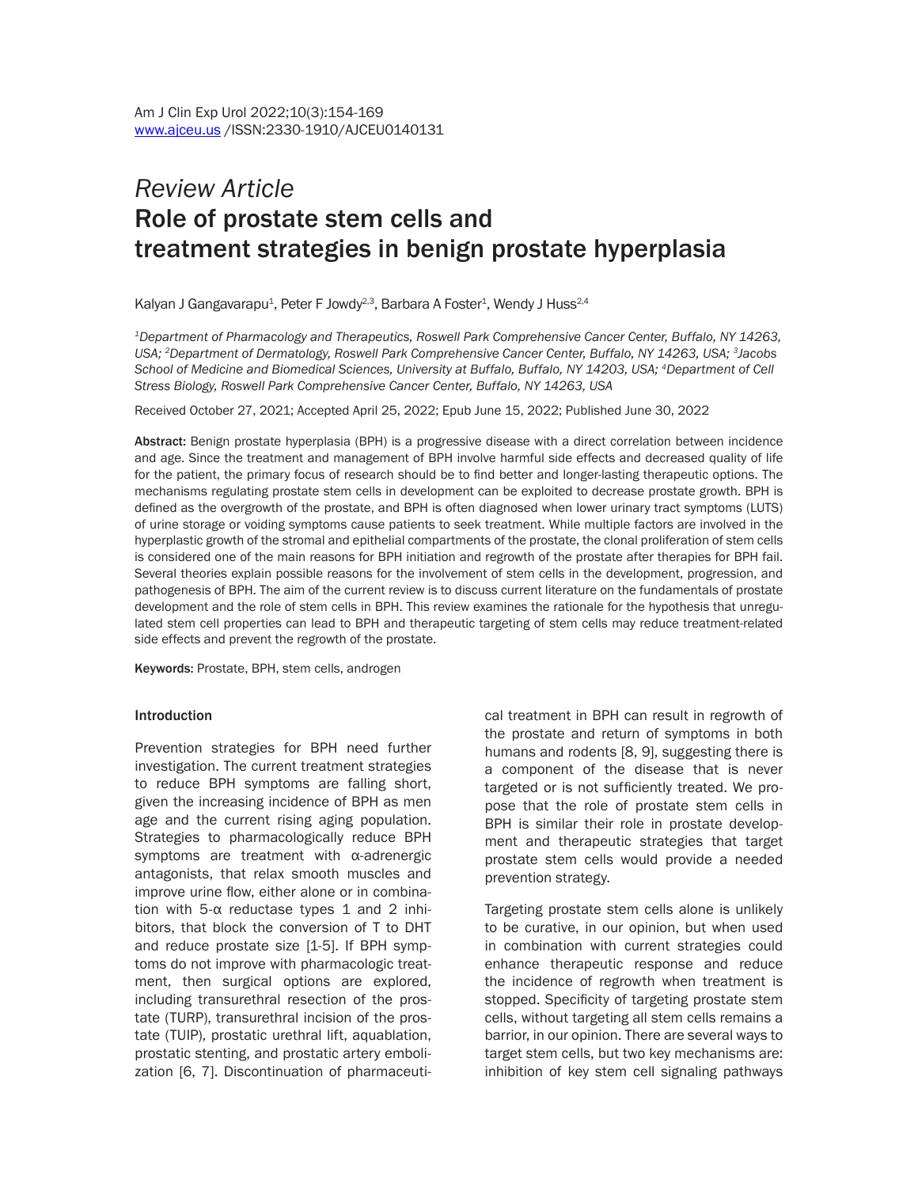# *Review Article* Role of prostate stem cells and treatment strategies in benign prostate hyperplasia

Kalyan J Gangavarapu<sup>1</sup>, Peter F Jowdy<sup>2,3</sup>, Barbara A Foster<sup>1</sup>, Wendy J Huss<sup>2,4</sup>

*1Department of Pharmacology and Therapeutics, Roswell Park Comprehensive Cancer Center, Buffalo, NY 14263, USA; 2Department of Dermatology, Roswell Park Comprehensive Cancer Center, Buffalo, NY 14263, USA; 3Jacobs School of Medicine and Biomedical Sciences, University at Buffalo, Buffalo, NY 14203, USA; 4Department of Cell Stress Biology, Roswell Park Comprehensive Cancer Center, Buffalo, NY 14263, USA*

Received October 27, 2021; Accepted April 25, 2022; Epub June 15, 2022; Published June 30, 2022

Abstract: Benign prostate hyperplasia (BPH) is a progressive disease with a direct correlation between incidence and age. Since the treatment and management of BPH involve harmful side effects and decreased quality of life for the patient, the primary focus of research should be to find better and longer-lasting therapeutic options. The mechanisms regulating prostate stem cells in development can be exploited to decrease prostate growth. BPH is defined as the overgrowth of the prostate, and BPH is often diagnosed when lower urinary tract symptoms (LUTS) of urine storage or voiding symptoms cause patients to seek treatment. While multiple factors are involved in the hyperplastic growth of the stromal and epithelial compartments of the prostate, the clonal proliferation of stem cells is considered one of the main reasons for BPH initiation and regrowth of the prostate after therapies for BPH fail. Several theories explain possible reasons for the involvement of stem cells in the development, progression, and pathogenesis of BPH. The aim of the current review is to discuss current literature on the fundamentals of prostate development and the role of stem cells in BPH. This review examines the rationale for the hypothesis that unregulated stem cell properties can lead to BPH and therapeutic targeting of stem cells may reduce treatment-related side effects and prevent the regrowth of the prostate.

Keywords: Prostate, BPH, stem cells, androgen

#### Introduction

Prevention strategies for BPH need further investigation. The current treatment strategies to reduce BPH symptoms are falling short, given the increasing incidence of BPH as men age and the current rising aging population. Strategies to pharmacologically reduce BPH symptoms are treatment with α-adrenergic antagonists, that relax smooth muscles and improve urine flow, either alone or in combination with 5- $α$  reductase types 1 and 2 inhibitors, that block the conversion of T to DHT and reduce prostate size [1-5]. If BPH symptoms do not improve with pharmacologic treatment, then surgical options are explored, including transurethral resection of the prostate (TURP), transurethral incision of the prostate (TUIP), prostatic urethral lift, aquablation, prostatic stenting, and prostatic artery embolization [6, 7]. Discontinuation of pharmaceutical treatment in BPH can result in regrowth of the prostate and return of symptoms in both humans and rodents [8, 9], suggesting there is a component of the disease that is never targeted or is not sufficiently treated. We propose that the role of prostate stem cells in BPH is similar their role in prostate development and therapeutic strategies that target prostate stem cells would provide a needed prevention strategy.

Targeting prostate stem cells alone is unlikely to be curative, in our opinion, but when used in combination with current strategies could enhance therapeutic response and reduce the incidence of regrowth when treatment is stopped. Specificity of targeting prostate stem cells, without targeting all stem cells remains a barrior, in our opinion. There are several ways to target stem cells, but two key mechanisms are: inhibition of key stem cell signaling pathways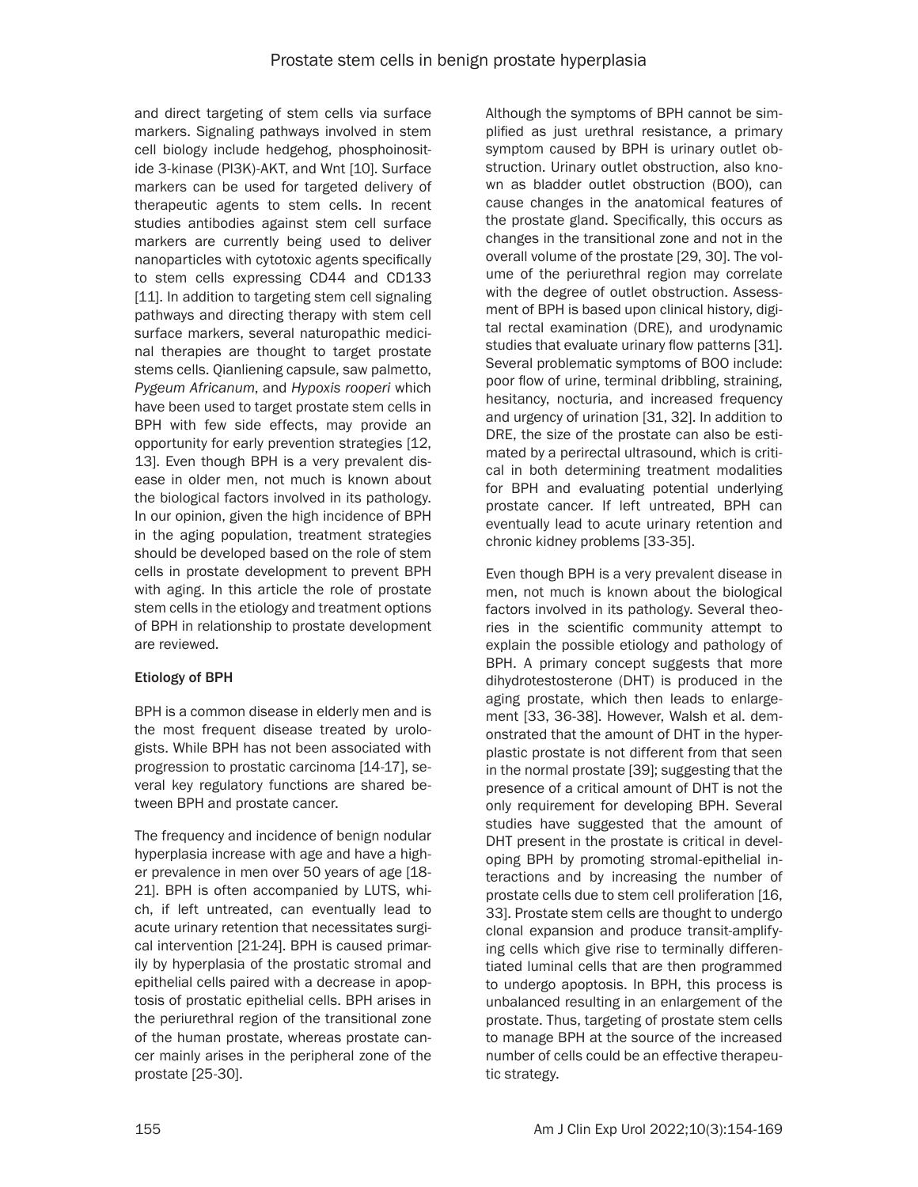and direct targeting of stem cells via surface markers. Signaling pathways involved in stem cell biology include hedgehog, phosphoinositide 3-kinase (PI3K)-AKT, and Wnt [10]. Surface markers can be used for targeted delivery of therapeutic agents to stem cells. In recent studies antibodies against stem cell surface markers are currently being used to deliver nanoparticles with cytotoxic agents specifically to stem cells expressing CD44 and CD133 [11]. In addition to targeting stem cell signaling pathways and directing therapy with stem cell surface markers, several naturopathic medicinal therapies are thought to target prostate stems cells. Qianliening capsule, saw palmetto, *Pygeum Africanum*, and *Hypoxis rooperi* which have been used to target prostate stem cells in BPH with few side effects, may provide an opportunity for early prevention strategies [12, 13]. Even though BPH is a very prevalent disease in older men, not much is known about the biological factors involved in its pathology. In our opinion, given the high incidence of BPH in the aging population, treatment strategies should be developed based on the role of stem cells in prostate development to prevent BPH with aging. In this article the role of prostate stem cells in the etiology and treatment options of BPH in relationship to prostate development are reviewed.

# Etiology of BPH

BPH is a common disease in elderly men and is the most frequent disease treated by urologists. While BPH has not been associated with progression to prostatic carcinoma [14-17], several key regulatory functions are shared between BPH and prostate cancer.

The frequency and incidence of benign nodular hyperplasia increase with age and have a higher prevalence in men over 50 years of age [18- 21]. BPH is often accompanied by LUTS, which, if left untreated, can eventually lead to acute urinary retention that necessitates surgical intervention [21-24]. BPH is caused primarily by hyperplasia of the prostatic stromal and epithelial cells paired with a decrease in apoptosis of prostatic epithelial cells. BPH arises in the periurethral region of the transitional zone of the human prostate, whereas prostate cancer mainly arises in the peripheral zone of the prostate [25-30].

Although the symptoms of BPH cannot be simplified as just urethral resistance, a primary symptom caused by BPH is urinary outlet obstruction. Urinary outlet obstruction, also known as bladder outlet obstruction (BOO), can cause changes in the anatomical features of the prostate gland. Specifically, this occurs as changes in the transitional zone and not in the overall volume of the prostate [29, 30]. The volume of the periurethral region may correlate with the degree of outlet obstruction. Assessment of BPH is based upon clinical history, digital rectal examination (DRE), and urodynamic studies that evaluate urinary flow patterns [31]. Several problematic symptoms of BOO include: poor flow of urine, terminal dribbling, straining, hesitancy, nocturia, and increased frequency and urgency of urination [31, 32]. In addition to DRE, the size of the prostate can also be estimated by a perirectal ultrasound, which is critical in both determining treatment modalities for BPH and evaluating potential underlying prostate cancer. If left untreated, BPH can eventually lead to acute urinary retention and chronic kidney problems [33-35].

Even though BPH is a very prevalent disease in men, not much is known about the biological factors involved in its pathology. Several theories in the scientific community attempt to explain the possible etiology and pathology of BPH. A primary concept suggests that more dihydrotestosterone (DHT) is produced in the aging prostate, which then leads to enlargement [33, 36-38]. However, Walsh et al. demonstrated that the amount of DHT in the hyperplastic prostate is not different from that seen in the normal prostate [39]; suggesting that the presence of a critical amount of DHT is not the only requirement for developing BPH. Several studies have suggested that the amount of DHT present in the prostate is critical in developing BPH by promoting stromal-epithelial interactions and by increasing the number of prostate cells due to stem cell proliferation [16, 33]. Prostate stem cells are thought to undergo clonal expansion and produce transit-amplifying cells which give rise to terminally differentiated luminal cells that are then programmed to undergo apoptosis. In BPH, this process is unbalanced resulting in an enlargement of the prostate. Thus, targeting of prostate stem cells to manage BPH at the source of the increased number of cells could be an effective therapeutic strategy.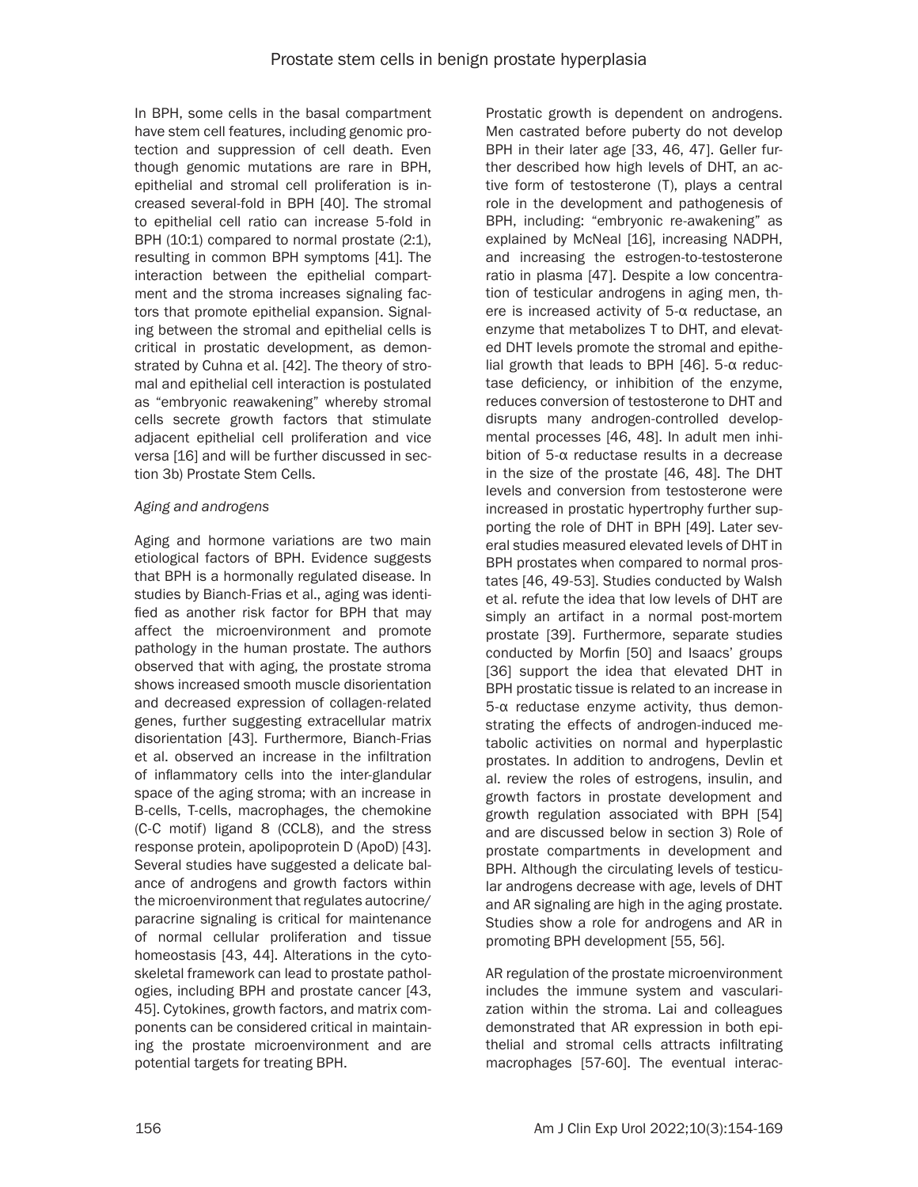In BPH, some cells in the basal compartment have stem cell features, including genomic protection and suppression of cell death. Even though genomic mutations are rare in BPH, epithelial and stromal cell proliferation is increased several-fold in BPH [40]. The stromal to epithelial cell ratio can increase 5-fold in BPH (10:1) compared to normal prostate (2:1), resulting in common BPH symptoms [41]. The interaction between the epithelial compartment and the stroma increases signaling factors that promote epithelial expansion. Signaling between the stromal and epithelial cells is critical in prostatic development, as demonstrated by Cuhna et al. [42]. The theory of stromal and epithelial cell interaction is postulated as "embryonic reawakening" whereby stromal cells secrete growth factors that stimulate adjacent epithelial cell proliferation and vice versa [16] and will be further discussed in section 3b) Prostate Stem Cells.

#### *Aging and androgens*

Aging and hormone variations are two main etiological factors of BPH. Evidence suggests that BPH is a hormonally regulated disease. In studies by Bianch-Frias et al., aging was identified as another risk factor for BPH that may affect the microenvironment and promote pathology in the human prostate. The authors observed that with aging, the prostate stroma shows increased smooth muscle disorientation and decreased expression of collagen-related genes, further suggesting extracellular matrix disorientation [43]. Furthermore, Bianch-Frias et al. observed an increase in the infiltration of inflammatory cells into the inter-glandular space of the aging stroma; with an increase in B-cells, T-cells, macrophages, the chemokine (C-C motif) ligand 8 (CCL8), and the stress response protein, apolipoprotein D (ApoD) [43]. Several studies have suggested a delicate balance of androgens and growth factors within the microenvironment that regulates autocrine/ paracrine signaling is critical for maintenance of normal cellular proliferation and tissue homeostasis [43, 44]. Alterations in the cytoskeletal framework can lead to prostate pathologies, including BPH and prostate cancer [43, 45]. Cytokines, growth factors, and matrix components can be considered critical in maintaining the prostate microenvironment and are potential targets for treating BPH.

Prostatic growth is dependent on androgens. Men castrated before puberty do not develop BPH in their later age [33, 46, 47]. Geller further described how high levels of DHT, an active form of testosterone (T), plays a central role in the development and pathogenesis of BPH, including: "embryonic re-awakening" as explained by McNeal [16], increasing NADPH, and increasing the estrogen-to-testosterone ratio in plasma [47]. Despite a low concentration of testicular androgens in aging men, there is increased activity of 5-α reductase, an enzyme that metabolizes T to DHT, and elevated DHT levels promote the stromal and epithelial growth that leads to BPH [46]. 5-α reductase deficiency, or inhibition of the enzyme, reduces conversion of testosterone to DHT and disrupts many androgen-controlled developmental processes [46, 48]. In adult men inhibition of 5-α reductase results in a decrease in the size of the prostate [46, 48]. The DHT levels and conversion from testosterone were increased in prostatic hypertrophy further supporting the role of DHT in BPH [49]. Later several studies measured elevated levels of DHT in BPH prostates when compared to normal prostates [46, 49-53]. Studies conducted by Walsh et al. refute the idea that low levels of DHT are simply an artifact in a normal post-mortem prostate [39]. Furthermore, separate studies conducted by Morfin [50] and Isaacs' groups [36] support the idea that elevated DHT in BPH prostatic tissue is related to an increase in 5-α reductase enzyme activity, thus demonstrating the effects of androgen-induced metabolic activities on normal and hyperplastic prostates. In addition to androgens, Devlin et al. review the roles of estrogens, insulin, and growth factors in prostate development and growth regulation associated with BPH [54] and are discussed below in section 3) Role of prostate compartments in development and BPH. Although the circulating levels of testicular androgens decrease with age, levels of DHT and AR signaling are high in the aging prostate. Studies show a role for androgens and AR in promoting BPH development [55, 56].

AR regulation of the prostate microenvironment includes the immune system and vascularization within the stroma. Lai and colleagues demonstrated that AR expression in both epithelial and stromal cells attracts infiltrating macrophages [57-60]. The eventual interac-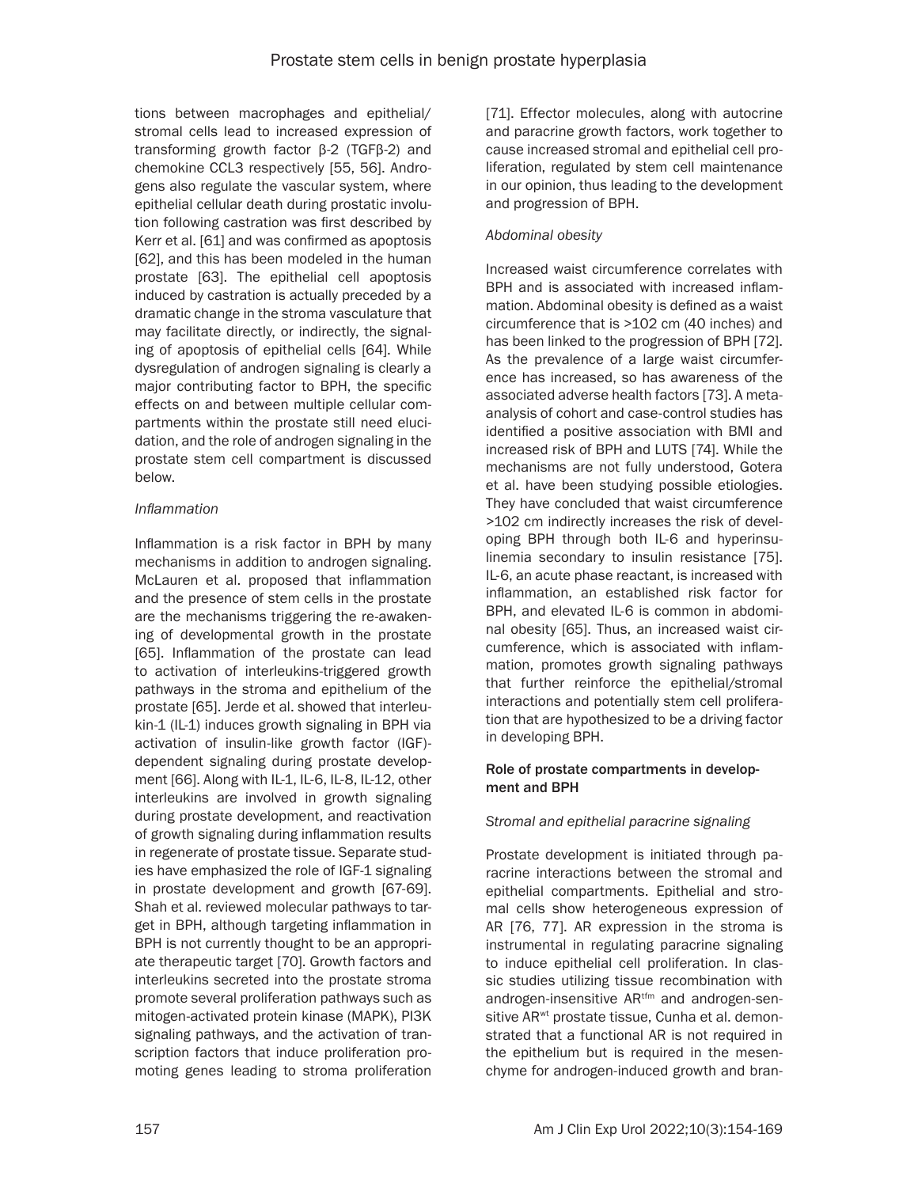tions between macrophages and epithelial/ stromal cells lead to increased expression of transforming growth factor β-2 (TGFβ-2) and chemokine CCL3 respectively [55, 56]. Androgens also regulate the vascular system, where epithelial cellular death during prostatic involution following castration was first described by Kerr et al. [61] and was confirmed as apoptosis [62], and this has been modeled in the human prostate [63]. The epithelial cell apoptosis induced by castration is actually preceded by a dramatic change in the stroma vasculature that may facilitate directly, or indirectly, the signaling of apoptosis of epithelial cells [64]. While dysregulation of androgen signaling is clearly a major contributing factor to BPH, the specific effects on and between multiple cellular compartments within the prostate still need elucidation, and the role of androgen signaling in the prostate stem cell compartment is discussed below.

#### *Inflammation*

Inflammation is a risk factor in BPH by many mechanisms in addition to androgen signaling. McLauren et al. proposed that inflammation and the presence of stem cells in the prostate are the mechanisms triggering the re-awakening of developmental growth in the prostate [65]. Inflammation of the prostate can lead to activation of interleukins-triggered growth pathways in the stroma and epithelium of the prostate [65]. Jerde et al. showed that interleukin-1 (IL-1) induces growth signaling in BPH via activation of insulin-like growth factor (IGF) dependent signaling during prostate development [66]. Along with IL-1, IL-6, IL-8, IL-12, other interleukins are involved in growth signaling during prostate development, and reactivation of growth signaling during inflammation results in regenerate of prostate tissue. Separate studies have emphasized the role of IGF-1 signaling in prostate development and growth [67-69]. Shah et al. reviewed molecular pathways to target in BPH, although targeting inflammation in BPH is not currently thought to be an appropriate therapeutic target [70]. Growth factors and interleukins secreted into the prostate stroma promote several proliferation pathways such as mitogen-activated protein kinase (MAPK), PI3K signaling pathways, and the activation of transcription factors that induce proliferation promoting genes leading to stroma proliferation

[71]. Effector molecules, along with autocrine and paracrine growth factors, work together to cause increased stromal and epithelial cell proliferation, regulated by stem cell maintenance in our opinion, thus leading to the development and progression of BPH.

# *Abdominal obesity*

Increased waist circumference correlates with BPH and is associated with increased inflammation. Abdominal obesity is defined as a waist circumference that is >102 cm (40 inches) and has been linked to the progression of BPH [72]. As the prevalence of a large waist circumference has increased, so has awareness of the associated adverse health factors [73]. A metaanalysis of cohort and case-control studies has identified a positive association with BMI and increased risk of BPH and LUTS [74]. While the mechanisms are not fully understood, Gotera et al. have been studying possible etiologies. They have concluded that waist circumference >102 cm indirectly increases the risk of developing BPH through both IL-6 and hyperinsulinemia secondary to insulin resistance [75]. IL-6, an acute phase reactant, is increased with inflammation, an established risk factor for BPH, and elevated IL-6 is common in abdominal obesity [65]. Thus, an increased waist circumference, which is associated with inflammation, promotes growth signaling pathways that further reinforce the epithelial/stromal interactions and potentially stem cell proliferation that are hypothesized to be a driving factor in developing BPH.

#### Role of prostate compartments in development and BPH

# *Stromal and epithelial paracrine signaling*

Prostate development is initiated through paracrine interactions between the stromal and epithelial compartments. Epithelial and stromal cells show heterogeneous expression of AR [76, 77]. AR expression in the stroma is instrumental in regulating paracrine signaling to induce epithelial cell proliferation. In classic studies utilizing tissue recombination with androgen-insensitive AR<sup>tfm</sup> and androgen-sensitive AR<sup>wt</sup> prostate tissue, Cunha et al. demonstrated that a functional AR is not required in the epithelium but is required in the mesenchyme for androgen-induced growth and bran-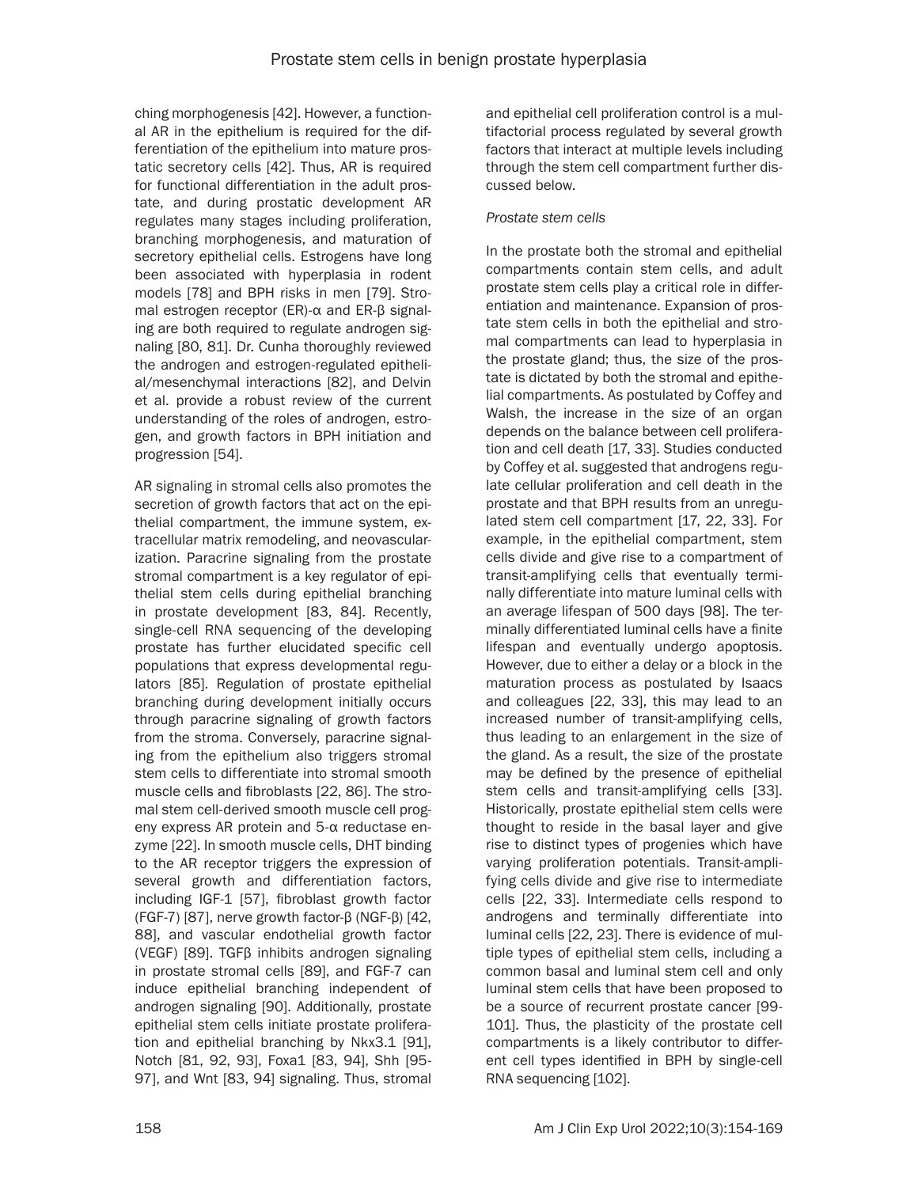ching morphogenesis [42]. However, a functional AR in the epithelium is required for the differentiation of the epithelium into mature prostatic secretory cells [42]. Thus, AR is required for functional differentiation in the adult prostate, and during prostatic development AR regulates many stages including proliferation, branching morphogenesis, and maturation of secretory epithelial cells. Estrogens have long been associated with hyperplasia in rodent models [78] and BPH risks in men [79]. Stromal estrogen receptor (ER)-α and ER-β signaling are both required to regulate androgen signaling [80, 81]. Dr. Cunha thoroughly reviewed the androgen and estrogen-regulated epithelial/mesenchymal interactions [82], and Delvin et al. provide a robust review of the current understanding of the roles of androgen, estrogen, and growth factors in BPH initiation and progression [54].

AR signaling in stromal cells also promotes the secretion of growth factors that act on the epithelial compartment, the immune system, extracellular matrix remodeling, and neovascularization. Paracrine signaling from the prostate stromal compartment is a key regulator of epithelial stem cells during epithelial branching in prostate development [83, 84]. Recently, single-cell RNA sequencing of the developing prostate has further elucidated specific cell populations that express developmental regulators [85]. Regulation of prostate epithelial branching during development initially occurs through paracrine signaling of growth factors from the stroma. Conversely, paracrine signaling from the epithelium also triggers stromal stem cells to differentiate into stromal smooth muscle cells and fibroblasts [22, 86]. The stromal stem cell-derived smooth muscle cell progeny express AR protein and 5-α reductase enzyme [22]. In smooth muscle cells, DHT binding to the AR receptor triggers the expression of several growth and differentiation factors, including IGF-1 [57], fibroblast growth factor (FGF-7) [87], nerve growth factor-β (NGF-β) [42, 88], and vascular endothelial growth factor (VEGF) [89]. TGFβ inhibits androgen signaling in prostate stromal cells [89], and FGF-7 can induce epithelial branching independent of androgen signaling [90]. Additionally, prostate epithelial stem cells initiate prostate proliferation and epithelial branching by Nkx3.1 [91], Notch [81, 92, 93], Foxa1 [83, 94], Shh [95-97], and Wnt [83, 94] signaling. Thus, stromal and epithelial cell proliferation control is a multifactorial process regulated by several growth factors that interact at multiple levels including through the stem cell compartment further discussed below.

### *Prostate stem cells*

In the prostate both the stromal and epithelial compartments contain stem cells, and adult prostate stem cells play a critical role in differentiation and maintenance. Expansion of prostate stem cells in both the epithelial and stromal compartments can lead to hyperplasia in the prostate gland; thus, the size of the prostate is dictated by both the stromal and epithelial compartments. As postulated by Coffey and Walsh, the increase in the size of an organ depends on the balance between cell proliferation and cell death [17, 33]. Studies conducted by Coffey et al. suggested that androgens regulate cellular proliferation and cell death in the prostate and that BPH results from an unregulated stem cell compartment [17, 22, 33]. For example, in the epithelial compartment, stem cells divide and give rise to a compartment of transit-amplifying cells that eventually terminally differentiate into mature luminal cells with an average lifespan of 500 days [98]. The terminally differentiated luminal cells have a finite lifespan and eventually undergo apoptosis. However, due to either a delay or a block in the maturation process as postulated by Isaacs and colleagues [22, 33], this may lead to an increased number of transit-amplifying cells, thus leading to an enlargement in the size of the gland. As a result, the size of the prostate may be defined by the presence of epithelial stem cells and transit-amplifying cells [33]. Historically, prostate epithelial stem cells were thought to reside in the basal layer and give rise to distinct types of progenies which have varying proliferation potentials. Transit-amplifying cells divide and give rise to intermediate cells [22, 33]. Intermediate cells respond to androgens and terminally differentiate into luminal cells [22, 23]. There is evidence of multiple types of epithelial stem cells, including a common basal and luminal stem cell and only luminal stem cells that have been proposed to be a source of recurrent prostate cancer [99- 101]. Thus, the plasticity of the prostate cell compartments is a likely contributor to different cell types identified in BPH by single-cell RNA sequencing [102].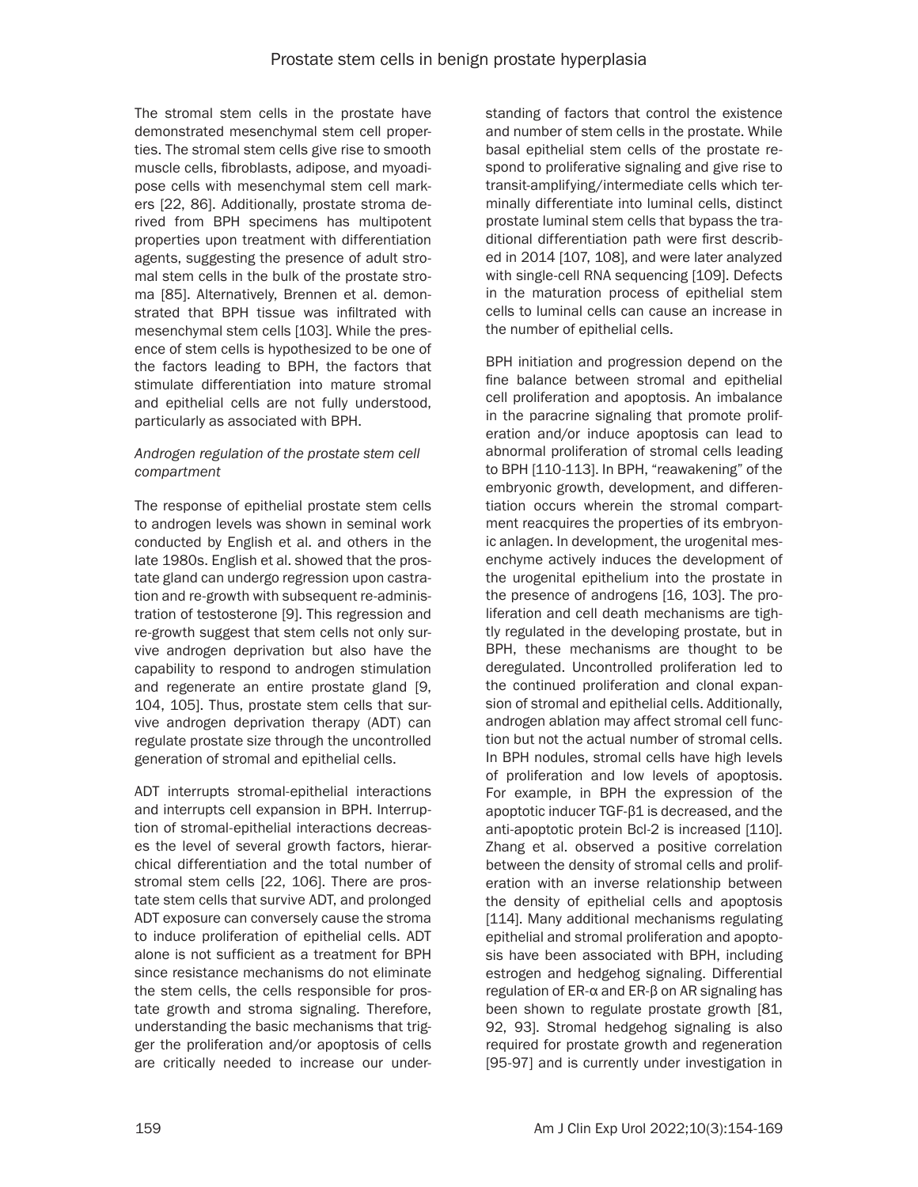The stromal stem cells in the prostate have demonstrated mesenchymal stem cell properties. The stromal stem cells give rise to smooth muscle cells, fibroblasts, adipose, and myoadipose cells with mesenchymal stem cell markers [22, 86]. Additionally, prostate stroma derived from BPH specimens has multipotent properties upon treatment with differentiation agents, suggesting the presence of adult stromal stem cells in the bulk of the prostate stroma [85]. Alternatively, Brennen et al. demonstrated that BPH tissue was infiltrated with mesenchymal stem cells [103]. While the presence of stem cells is hypothesized to be one of the factors leading to BPH, the factors that stimulate differentiation into mature stromal and epithelial cells are not fully understood, particularly as associated with BPH.

#### *Androgen regulation of the prostate stem cell compartment*

The response of epithelial prostate stem cells to androgen levels was shown in seminal work conducted by English et al. and others in the late 1980s. English et al. showed that the prostate gland can undergo regression upon castration and re-growth with subsequent re-administration of testosterone [9]. This regression and re-growth suggest that stem cells not only survive androgen deprivation but also have the capability to respond to androgen stimulation and regenerate an entire prostate gland [9, 104, 105]. Thus, prostate stem cells that survive androgen deprivation therapy (ADT) can regulate prostate size through the uncontrolled generation of stromal and epithelial cells.

ADT interrupts stromal-epithelial interactions and interrupts cell expansion in BPH. Interruption of stromal-epithelial interactions decreases the level of several growth factors, hierarchical differentiation and the total number of stromal stem cells [22, 106]. There are prostate stem cells that survive ADT, and prolonged ADT exposure can conversely cause the stroma to induce proliferation of epithelial cells. ADT alone is not sufficient as a treatment for BPH since resistance mechanisms do not eliminate the stem cells, the cells responsible for prostate growth and stroma signaling. Therefore, understanding the basic mechanisms that trigger the proliferation and/or apoptosis of cells are critically needed to increase our understanding of factors that control the existence and number of stem cells in the prostate. While basal epithelial stem cells of the prostate respond to proliferative signaling and give rise to transit-amplifying/intermediate cells which terminally differentiate into luminal cells, distinct prostate luminal stem cells that bypass the traditional differentiation path were first described in 2014 [107, 108], and were later analyzed with single-cell RNA sequencing [109]. Defects in the maturation process of epithelial stem cells to luminal cells can cause an increase in the number of epithelial cells.

BPH initiation and progression depend on the fine balance between stromal and epithelial cell proliferation and apoptosis. An imbalance in the paracrine signaling that promote proliferation and/or induce apoptosis can lead to abnormal proliferation of stromal cells leading to BPH [110-113]. In BPH, "reawakening" of the embryonic growth, development, and differentiation occurs wherein the stromal compartment reacquires the properties of its embryonic anlagen. In development, the urogenital mesenchyme actively induces the development of the urogenital epithelium into the prostate in the presence of androgens [16, 103]. The proliferation and cell death mechanisms are tightly regulated in the developing prostate, but in BPH, these mechanisms are thought to be deregulated. Uncontrolled proliferation led to the continued proliferation and clonal expansion of stromal and epithelial cells. Additionally, androgen ablation may affect stromal cell function but not the actual number of stromal cells. In BPH nodules, stromal cells have high levels of proliferation and low levels of apoptosis. For example, in BPH the expression of the apoptotic inducer TGF-β1 is decreased, and the anti-apoptotic protein Bcl-2 is increased [110]. Zhang et al. observed a positive correlation between the density of stromal cells and proliferation with an inverse relationship between the density of epithelial cells and apoptosis [114]. Many additional mechanisms regulating epithelial and stromal proliferation and apoptosis have been associated with BPH, including estrogen and hedgehog signaling. Differential regulation of ER-α and ER-β on AR signaling has been shown to regulate prostate growth [81, 92, 93]. Stromal hedgehog signaling is also required for prostate growth and regeneration [95-97] and is currently under investigation in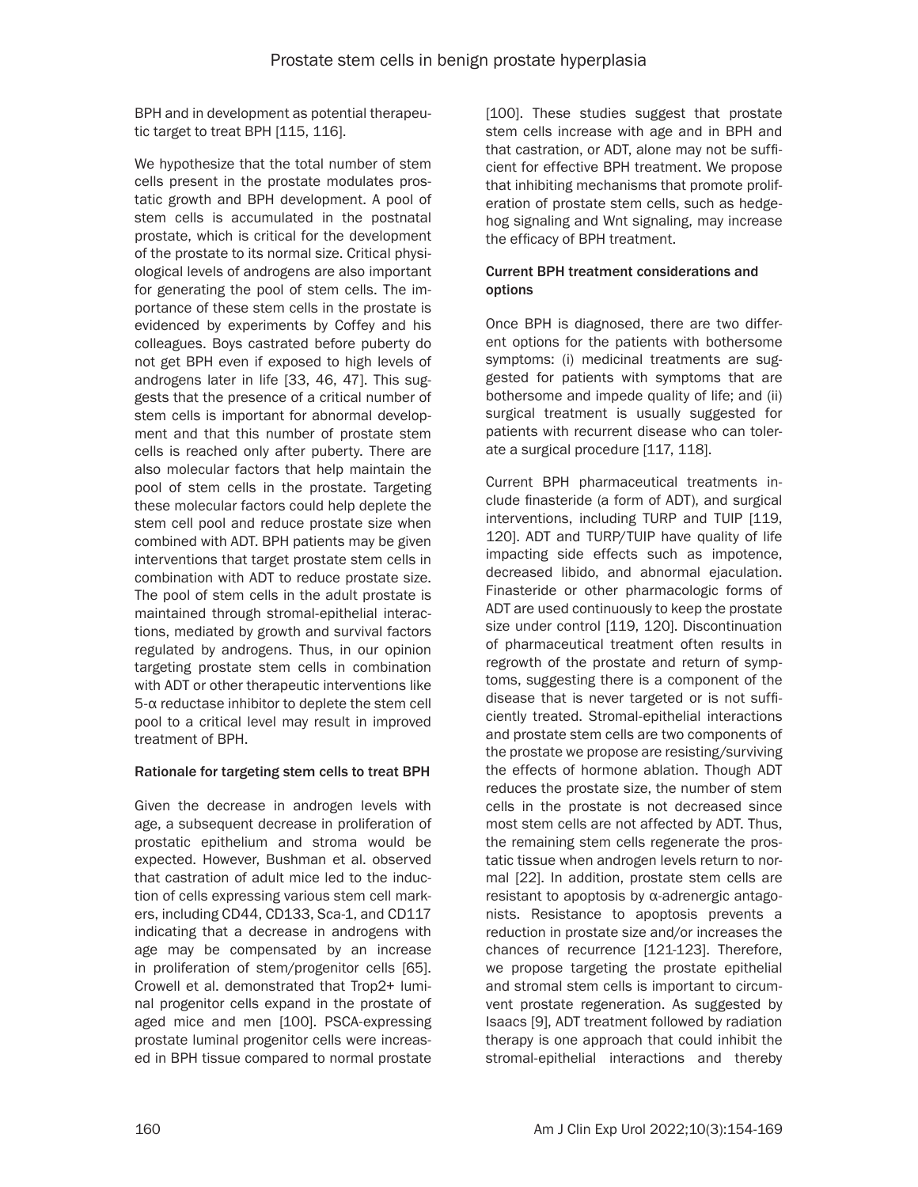BPH and in development as potential therapeutic target to treat BPH [115, 116].

We hypothesize that the total number of stem cells present in the prostate modulates prostatic growth and BPH development. A pool of stem cells is accumulated in the postnatal prostate, which is critical for the development of the prostate to its normal size. Critical physiological levels of androgens are also important for generating the pool of stem cells. The importance of these stem cells in the prostate is evidenced by experiments by Coffey and his colleagues. Boys castrated before puberty do not get BPH even if exposed to high levels of androgens later in life [33, 46, 47]. This suggests that the presence of a critical number of stem cells is important for abnormal development and that this number of prostate stem cells is reached only after puberty. There are also molecular factors that help maintain the pool of stem cells in the prostate. Targeting these molecular factors could help deplete the stem cell pool and reduce prostate size when combined with ADT. BPH patients may be given interventions that target prostate stem cells in combination with ADT to reduce prostate size. The pool of stem cells in the adult prostate is maintained through stromal-epithelial interactions, mediated by growth and survival factors regulated by androgens. Thus, in our opinion targeting prostate stem cells in combination with ADT or other therapeutic interventions like 5-α reductase inhibitor to deplete the stem cell pool to a critical level may result in improved treatment of BPH.

# Rationale for targeting stem cells to treat BPH

Given the decrease in androgen levels with age, a subsequent decrease in proliferation of prostatic epithelium and stroma would be expected. However, Bushman et al. observed that castration of adult mice led to the induction of cells expressing various stem cell markers, including CD44, CD133, Sca-1, and CD117 indicating that a decrease in androgens with age may be compensated by an increase in proliferation of stem/progenitor cells [65]. Crowell et al. demonstrated that Trop2+ luminal progenitor cells expand in the prostate of aged mice and men [100]. PSCA-expressing prostate luminal progenitor cells were increased in BPH tissue compared to normal prostate

[100]. These studies suggest that prostate stem cells increase with age and in BPH and that castration, or ADT, alone may not be sufficient for effective BPH treatment. We propose that inhibiting mechanisms that promote proliferation of prostate stem cells, such as hedgehog signaling and Wnt signaling, may increase the efficacy of BPH treatment.

### Current BPH treatment considerations and options

Once BPH is diagnosed, there are two different options for the patients with bothersome symptoms: (i) medicinal treatments are suggested for patients with symptoms that are bothersome and impede quality of life; and (ii) surgical treatment is usually suggested for patients with recurrent disease who can tolerate a surgical procedure [117, 118].

Current BPH pharmaceutical treatments include finasteride (a form of ADT), and surgical interventions, including TURP and TUIP [119, 120]. ADT and TURP/TUIP have quality of life impacting side effects such as impotence, decreased libido, and abnormal ejaculation. Finasteride or other pharmacologic forms of ADT are used continuously to keep the prostate size under control [119, 120]. Discontinuation of pharmaceutical treatment often results in regrowth of the prostate and return of symptoms, suggesting there is a component of the disease that is never targeted or is not sufficiently treated. Stromal-epithelial interactions and prostate stem cells are two components of the prostate we propose are resisting/surviving the effects of hormone ablation. Though ADT reduces the prostate size, the number of stem cells in the prostate is not decreased since most stem cells are not affected by ADT. Thus, the remaining stem cells regenerate the prostatic tissue when androgen levels return to normal [22]. In addition, prostate stem cells are resistant to apoptosis by α-adrenergic antagonists. Resistance to apoptosis prevents a reduction in prostate size and/or increases the chances of recurrence [121-123]. Therefore, we propose targeting the prostate epithelial and stromal stem cells is important to circumvent prostate regeneration. As suggested by Isaacs [9], ADT treatment followed by radiation therapy is one approach that could inhibit the stromal-epithelial interactions and thereby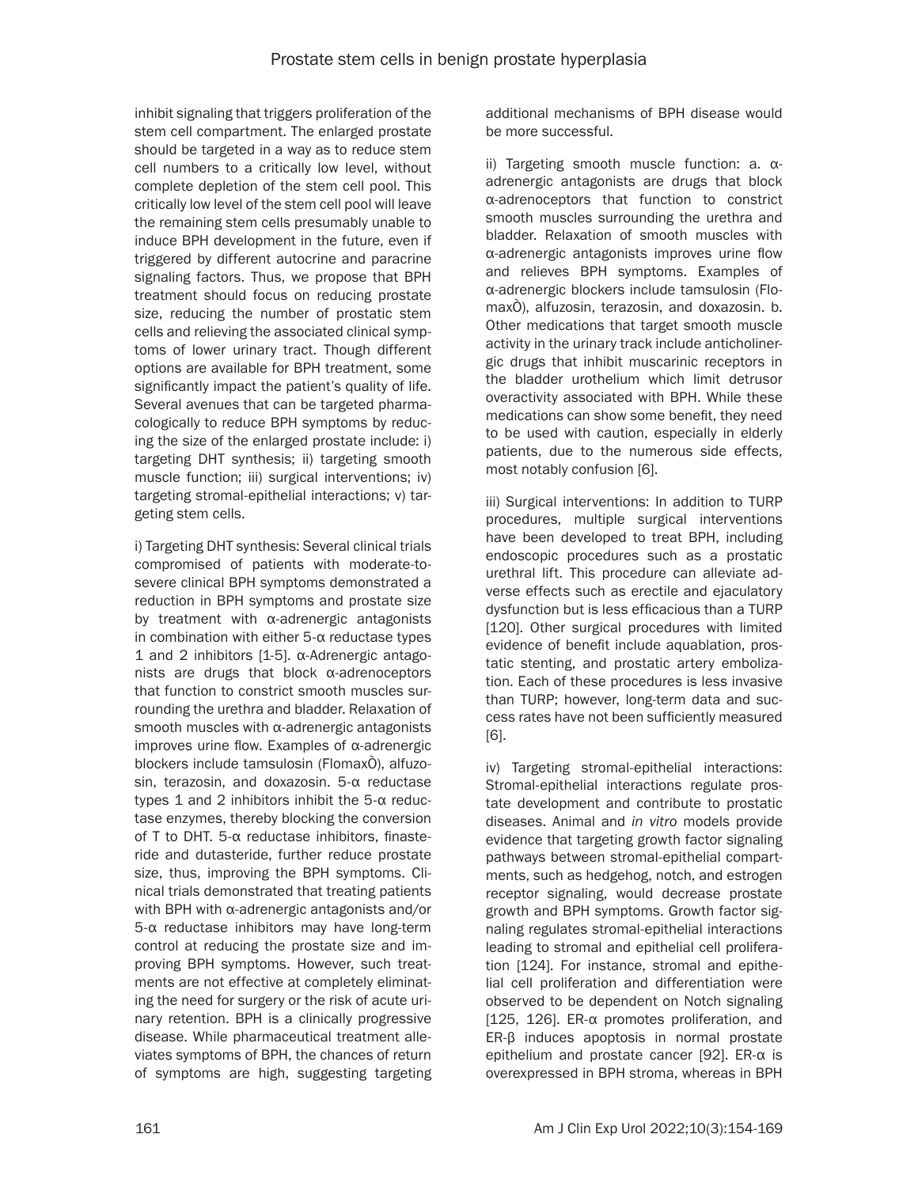inhibit signaling that triggers proliferation of the stem cell compartment. The enlarged prostate should be targeted in a way as to reduce stem cell numbers to a critically low level, without complete depletion of the stem cell pool. This critically low level of the stem cell pool will leave the remaining stem cells presumably unable to induce BPH development in the future, even if triggered by different autocrine and paracrine signaling factors. Thus, we propose that BPH treatment should focus on reducing prostate size, reducing the number of prostatic stem cells and relieving the associated clinical symptoms of lower urinary tract. Though different options are available for BPH treatment, some significantly impact the patient's quality of life. Several avenues that can be targeted pharmacologically to reduce BPH symptoms by reducing the size of the enlarged prostate include: i) targeting DHT synthesis; ii) targeting smooth muscle function; iii) surgical interventions; iv) targeting stromal-epithelial interactions; v) targeting stem cells.

i) Targeting DHT synthesis: Several clinical trials compromised of patients with moderate-tosevere clinical BPH symptoms demonstrated a reduction in BPH symptoms and prostate size by treatment with α-adrenergic antagonists in combination with either 5-α reductase types 1 and 2 inhibitors [1-5]. α-Adrenergic antagonists are drugs that block α-adrenoceptors that function to constrict smooth muscles surrounding the urethra and bladder. Relaxation of smooth muscles with α-adrenergic antagonists improves urine flow. Examples of α-adrenergic blockers include tamsulosin (FlomaxÒ), alfuzosin, terazosin, and doxazosin. 5-α reductase types 1 and 2 inhibitors inhibit the 5- $α$  reductase enzymes, thereby blocking the conversion of T to DHT. 5-α reductase inhibitors, finasteride and dutasteride, further reduce prostate size, thus, improving the BPH symptoms. Clinical trials demonstrated that treating patients with BPH with α-adrenergic antagonists and/or 5-α reductase inhibitors may have long-term control at reducing the prostate size and improving BPH symptoms. However, such treatments are not effective at completely eliminating the need for surgery or the risk of acute urinary retention. BPH is a clinically progressive disease. While pharmaceutical treatment alleviates symptoms of BPH, the chances of return of symptoms are high, suggesting targeting additional mechanisms of BPH disease would be more successful.

ii) Targeting smooth muscle function: a. αadrenergic antagonists are drugs that block α-adrenoceptors that function to constrict smooth muscles surrounding the urethra and bladder. Relaxation of smooth muscles with α-adrenergic antagonists improves urine flow and relieves BPH symptoms. Examples of α-adrenergic blockers include tamsulosin (FlomaxÒ), alfuzosin, terazosin, and doxazosin. b. Other medications that target smooth muscle activity in the urinary track include anticholinergic drugs that inhibit muscarinic receptors in the bladder urothelium which limit detrusor overactivity associated with BPH. While these medications can show some benefit, they need to be used with caution, especially in elderly patients, due to the numerous side effects, most notably confusion [6].

iii) Surgical interventions: In addition to TURP procedures, multiple surgical interventions have been developed to treat BPH, including endoscopic procedures such as a prostatic urethral lift. This procedure can alleviate adverse effects such as erectile and ejaculatory dysfunction but is less efficacious than a TURP [120]. Other surgical procedures with limited evidence of benefit include aquablation, prostatic stenting, and prostatic artery embolization. Each of these procedures is less invasive than TURP; however, long-term data and success rates have not been sufficiently measured [6].

iv) Targeting stromal-epithelial interactions: Stromal-epithelial interactions regulate prostate development and contribute to prostatic diseases. Animal and *in vitro* models provide evidence that targeting growth factor signaling pathways between stromal-epithelial compartments, such as hedgehog, notch, and estrogen receptor signaling, would decrease prostate growth and BPH symptoms. Growth factor signaling regulates stromal-epithelial interactions leading to stromal and epithelial cell proliferation [124]. For instance, stromal and epithelial cell proliferation and differentiation were observed to be dependent on Notch signaling [125, 126]. ER-α promotes proliferation, and ER-β induces apoptosis in normal prostate epithelium and prostate cancer [92]. ER-α is overexpressed in BPH stroma, whereas in BPH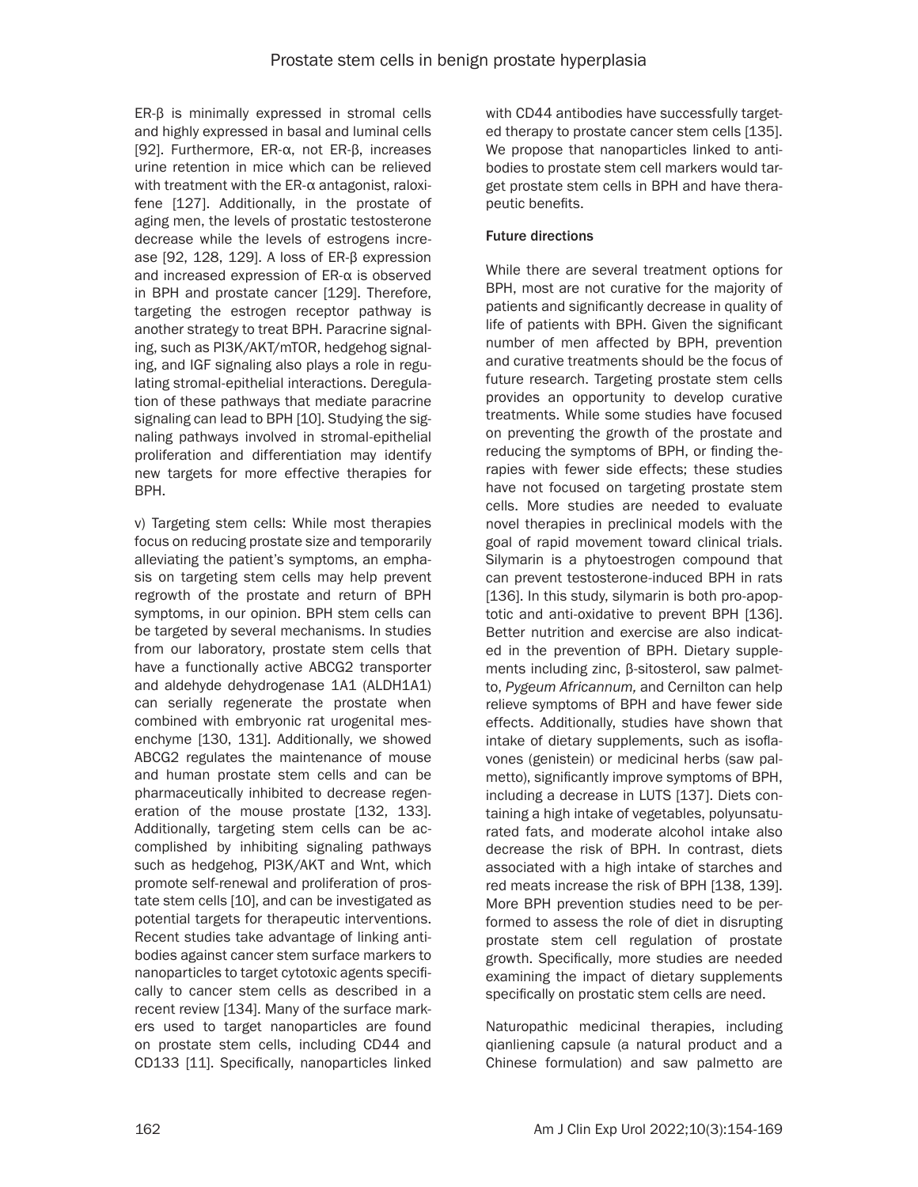ER-β is minimally expressed in stromal cells and highly expressed in basal and luminal cells [92]. Furthermore, ER-α, not ER-β, increases urine retention in mice which can be relieved with treatment with the ER-α antagonist, raloxifene [127]. Additionally, in the prostate of aging men, the levels of prostatic testosterone decrease while the levels of estrogens increase [92, 128, 129]. A loss of ER-β expression and increased expression of ER-α is observed in BPH and prostate cancer [129]. Therefore, targeting the estrogen receptor pathway is another strategy to treat BPH. Paracrine signaling, such as PI3K/AKT/mTOR, hedgehog signaling, and IGF signaling also plays a role in regulating stromal-epithelial interactions. Deregulation of these pathways that mediate paracrine signaling can lead to BPH [10]. Studying the signaling pathways involved in stromal-epithelial proliferation and differentiation may identify new targets for more effective therapies for BPH.

v) Targeting stem cells: While most therapies focus on reducing prostate size and temporarily alleviating the patient's symptoms, an emphasis on targeting stem cells may help prevent regrowth of the prostate and return of BPH symptoms, in our opinion. BPH stem cells can be targeted by several mechanisms. In studies from our laboratory, prostate stem cells that have a functionally active ABCG2 transporter and aldehyde dehydrogenase 1A1 (ALDH1A1) can serially regenerate the prostate when combined with embryonic rat urogenital mesenchyme [130, 131]. Additionally, we showed ABCG2 regulates the maintenance of mouse and human prostate stem cells and can be pharmaceutically inhibited to decrease regeneration of the mouse prostate [132, 133]. Additionally, targeting stem cells can be accomplished by inhibiting signaling pathways such as hedgehog, PI3K/AKT and Wnt, which promote self-renewal and proliferation of prostate stem cells [10], and can be investigated as potential targets for therapeutic interventions. Recent studies take advantage of linking antibodies against cancer stem surface markers to nanoparticles to target cytotoxic agents specifically to cancer stem cells as described in a recent review [134]. Many of the surface markers used to target nanoparticles are found on prostate stem cells, including CD44 and CD133 [11]. Specifically, nanoparticles linked

with CD44 antibodies have successfully targeted therapy to prostate cancer stem cells [135]. We propose that nanoparticles linked to antibodies to prostate stem cell markers would target prostate stem cells in BPH and have therapeutic benefits.

### Future directions

While there are several treatment options for BPH, most are not curative for the majority of patients and significantly decrease in quality of life of patients with BPH. Given the significant number of men affected by BPH, prevention and curative treatments should be the focus of future research. Targeting prostate stem cells provides an opportunity to develop curative treatments. While some studies have focused on preventing the growth of the prostate and reducing the symptoms of BPH, or finding therapies with fewer side effects; these studies have not focused on targeting prostate stem cells. More studies are needed to evaluate novel therapies in preclinical models with the goal of rapid movement toward clinical trials. Silymarin is a phytoestrogen compound that can prevent testosterone-induced BPH in rats [136]. In this study, silymarin is both pro-apoptotic and anti-oxidative to prevent BPH [136]. Better nutrition and exercise are also indicated in the prevention of BPH. Dietary supplements including zinc, β-sitosterol, saw palmetto, *Pygeum Africannum,* and Cernilton can help relieve symptoms of BPH and have fewer side effects. Additionally, studies have shown that intake of dietary supplements, such as isoflavones (genistein) or medicinal herbs (saw palmetto), significantly improve symptoms of BPH, including a decrease in LUTS [137]. Diets containing a high intake of vegetables, polyunsaturated fats, and moderate alcohol intake also decrease the risk of BPH. In contrast, diets associated with a high intake of starches and red meats increase the risk of BPH [138, 139]. More BPH prevention studies need to be performed to assess the role of diet in disrupting prostate stem cell regulation of prostate growth. Specifically, more studies are needed examining the impact of dietary supplements specifically on prostatic stem cells are need.

Naturopathic medicinal therapies, including qianliening capsule (a natural product and a Chinese formulation) and saw palmetto are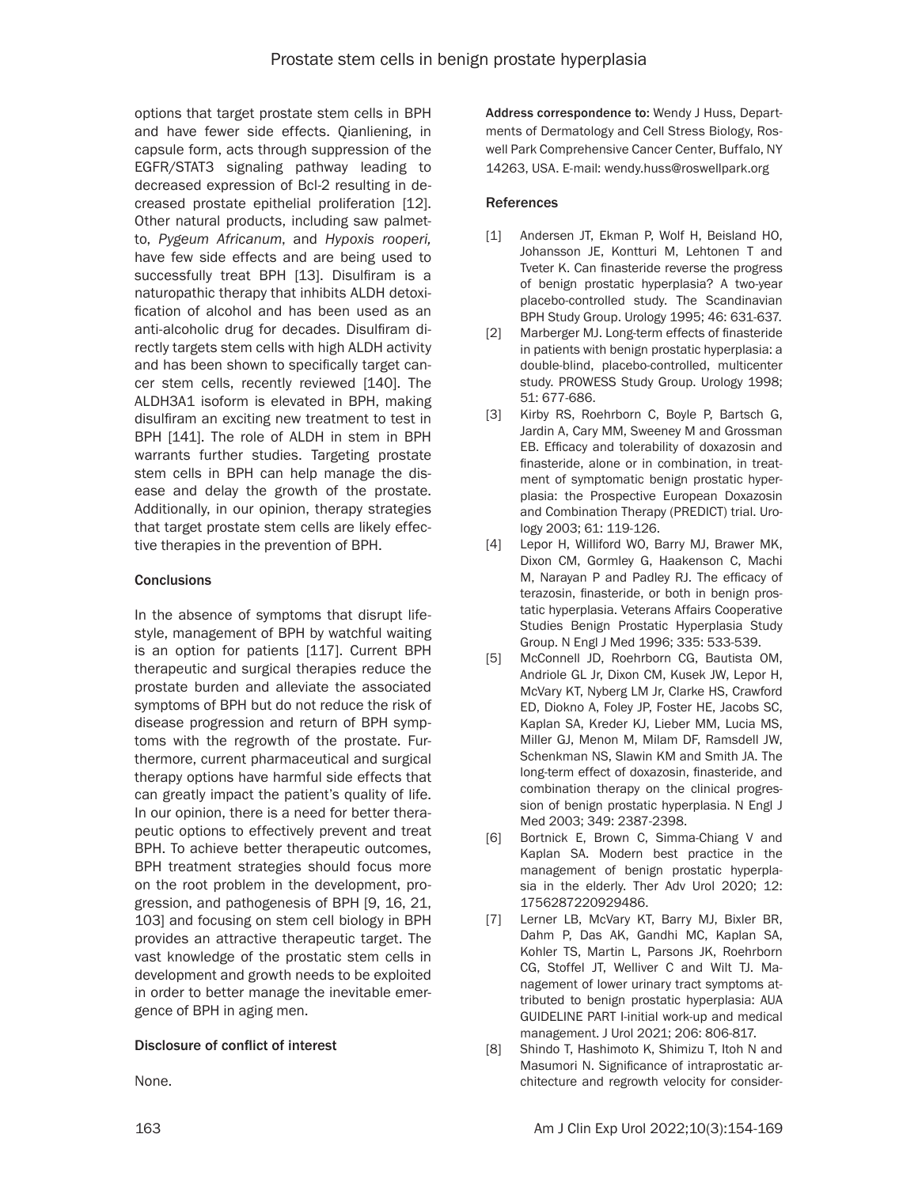options that target prostate stem cells in BPH and have fewer side effects. Qianliening, in capsule form, acts through suppression of the EGFR/STAT3 signaling pathway leading to decreased expression of Bcl-2 resulting in decreased prostate epithelial proliferation [12]. Other natural products, including saw palmetto, *Pygeum Africanum*, and *Hypoxis rooperi,* have few side effects and are being used to successfully treat BPH [13]. Disulfiram is a naturopathic therapy that inhibits ALDH detoxification of alcohol and has been used as an anti-alcoholic drug for decades. Disulfiram directly targets stem cells with high ALDH activity and has been shown to specifically target cancer stem cells, recently reviewed [140]. The ALDH3A1 isoform is elevated in BPH, making disulfiram an exciting new treatment to test in BPH [141]. The role of ALDH in stem in BPH warrants further studies. Targeting prostate stem cells in BPH can help manage the disease and delay the growth of the prostate. Additionally, in our opinion, therapy strategies that target prostate stem cells are likely effective therapies in the prevention of BPH.

#### **Conclusions**

In the absence of symptoms that disrupt lifestyle, management of BPH by watchful waiting is an option for patients [117]. Current BPH therapeutic and surgical therapies reduce the prostate burden and alleviate the associated symptoms of BPH but do not reduce the risk of disease progression and return of BPH symptoms with the regrowth of the prostate. Furthermore, current pharmaceutical and surgical therapy options have harmful side effects that can greatly impact the patient's quality of life. In our opinion, there is a need for better therapeutic options to effectively prevent and treat BPH. To achieve better therapeutic outcomes, BPH treatment strategies should focus more on the root problem in the development, progression, and pathogenesis of BPH [9, 16, 21, 103] and focusing on stem cell biology in BPH provides an attractive therapeutic target. The vast knowledge of the prostatic stem cells in development and growth needs to be exploited in order to better manage the inevitable emergence of BPH in aging men.

#### Disclosure of conflict of interest

None.

Address correspondence to: Wendy J Huss, Departments of Dermatology and Cell Stress Biology, Roswell Park Comprehensive Cancer Center, Buffalo, NY 14263, USA. E-mail: wendy.huss@roswellpark.org

#### **References**

- [1] Andersen JT, Ekman P, Wolf H, Beisland HO, Johansson JE, Kontturi M, Lehtonen T and Tveter K. Can finasteride reverse the progress of benign prostatic hyperplasia? A two-year placebo-controlled study. The Scandinavian BPH Study Group. Urology 1995; 46: 631-637.
- [2] Marberger MJ. Long-term effects of finasteride in patients with benign prostatic hyperplasia: a double-blind, placebo-controlled, multicenter study. PROWESS Study Group. Urology 1998; 51: 677-686.
- [3] Kirby RS, Roehrborn C, Boyle P, Bartsch G, Jardin A, Cary MM, Sweeney M and Grossman EB. Efficacy and tolerability of doxazosin and finasteride, alone or in combination, in treatment of symptomatic benign prostatic hyperplasia: the Prospective European Doxazosin and Combination Therapy (PREDICT) trial. Urology 2003; 61: 119-126.
- [4] Lepor H, Williford WO, Barry MJ, Brawer MK, Dixon CM, Gormley G, Haakenson C, Machi M, Narayan P and Padley RJ. The efficacy of terazosin, finasteride, or both in benign prostatic hyperplasia. Veterans Affairs Cooperative Studies Benign Prostatic Hyperplasia Study Group. N Engl J Med 1996; 335: 533-539.
- [5] McConnell JD, Roehrborn CG, Bautista OM, Andriole GL Jr, Dixon CM, Kusek JW, Lepor H, McVary KT, Nyberg LM Jr, Clarke HS, Crawford ED, Diokno A, Foley JP, Foster HE, Jacobs SC, Kaplan SA, Kreder KJ, Lieber MM, Lucia MS, Miller GJ, Menon M, Milam DF, Ramsdell JW, Schenkman NS, Slawin KM and Smith JA. The long-term effect of doxazosin, finasteride, and combination therapy on the clinical progression of benign prostatic hyperplasia. N Engl J Med 2003; 349: 2387-2398.
- [6] Bortnick E, Brown C, Simma-Chiang V and Kaplan SA. Modern best practice in the management of benign prostatic hyperplasia in the elderly. Ther Adv Urol 2020; 12: 1756287220929486.
- [7] Lerner LB, McVary KT, Barry MJ, Bixler BR, Dahm P, Das AK, Gandhi MC, Kaplan SA, Kohler TS, Martin L, Parsons JK, Roehrborn CG, Stoffel JT, Welliver C and Wilt TJ. Management of lower urinary tract symptoms attributed to benign prostatic hyperplasia: AUA GUIDELINE PART I-initial work-up and medical management. J Urol 2021; 206: 806-817.
- [8] Shindo T, Hashimoto K, Shimizu T, Itoh N and Masumori N. Significance of intraprostatic architecture and regrowth velocity for consider-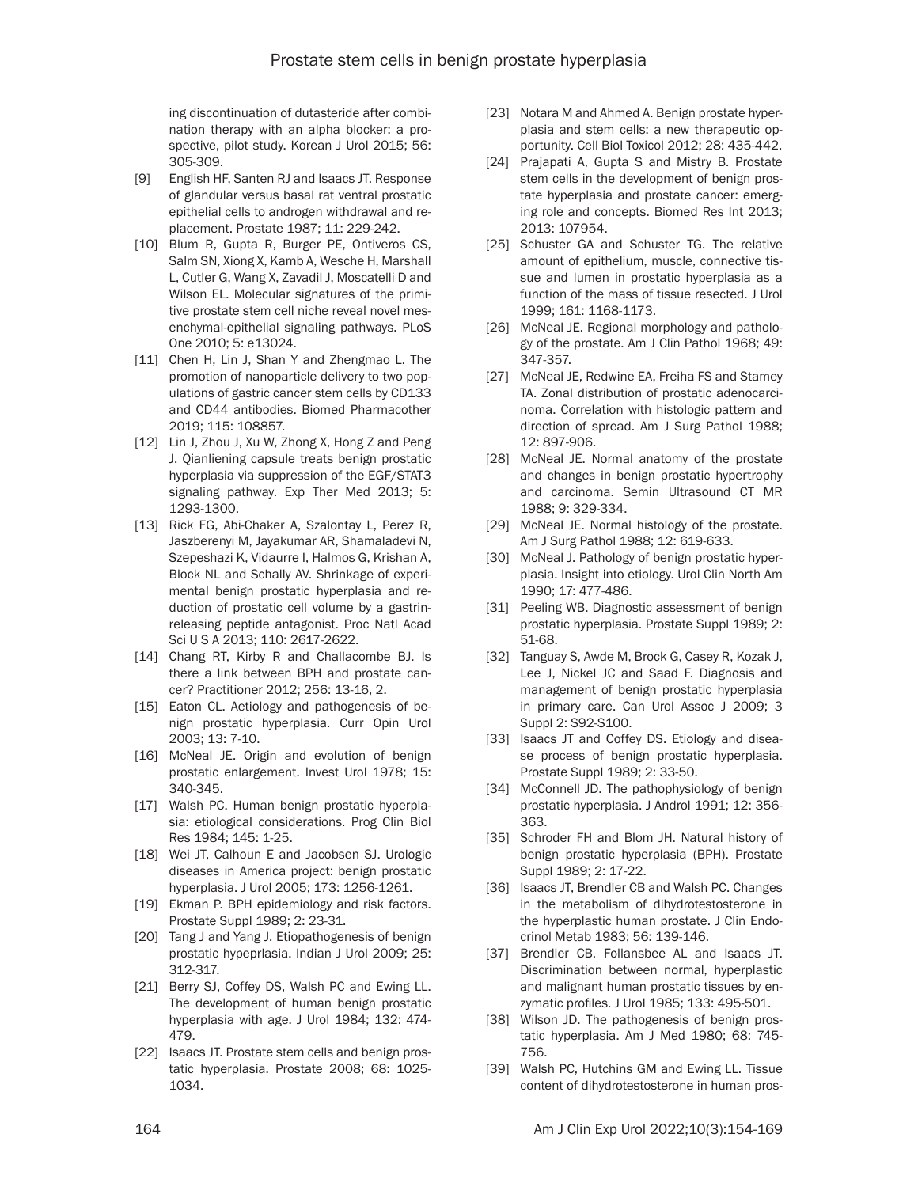ing discontinuation of dutasteride after combination therapy with an alpha blocker: a prospective, pilot study. Korean J Urol 2015; 56: 305-309.

- [9] English HF, Santen RJ and Isaacs JT. Response of glandular versus basal rat ventral prostatic epithelial cells to androgen withdrawal and replacement. Prostate 1987; 11: 229-242.
- [10] Blum R, Gupta R, Burger PE, Ontiveros CS, Salm SN, Xiong X, Kamb A, Wesche H, Marshall L, Cutler G, Wang X, Zavadil J, Moscatelli D and Wilson EL. Molecular signatures of the primitive prostate stem cell niche reveal novel mesenchymal-epithelial signaling pathways. PLoS One 2010; 5: e13024.
- [11] Chen H, Lin J, Shan Y and Zhengmao L. The promotion of nanoparticle delivery to two populations of gastric cancer stem cells by CD133 and CD44 antibodies. Biomed Pharmacother 2019; 115: 108857.
- [12] Lin J, Zhou J, Xu W, Zhong X, Hong Z and Peng J. Qianliening capsule treats benign prostatic hyperplasia via suppression of the EGF/STAT3 signaling pathway. Exp Ther Med 2013; 5: 1293-1300.
- [13] Rick FG, Abi-Chaker A, Szalontay L, Perez R, Jaszberenyi M, Jayakumar AR, Shamaladevi N, Szepeshazi K, Vidaurre I, Halmos G, Krishan A, Block NL and Schally AV. Shrinkage of experimental benign prostatic hyperplasia and reduction of prostatic cell volume by a gastrinreleasing peptide antagonist. Proc Natl Acad Sci U S A 2013; 110: 2617-2622.
- [14] Chang RT, Kirby R and Challacombe BJ. Is there a link between BPH and prostate cancer? Practitioner 2012; 256: 13-16, 2.
- [15] Eaton CL. Aetiology and pathogenesis of benign prostatic hyperplasia. Curr Opin Urol 2003; 13: 7-10.
- [16] McNeal JE. Origin and evolution of benign prostatic enlargement. Invest Urol 1978; 15: 340-345.
- [17] Walsh PC. Human benign prostatic hyperplasia: etiological considerations. Prog Clin Biol Res 1984; 145: 1-25.
- [18] Wei JT, Calhoun E and Jacobsen SJ. Urologic diseases in America project: benign prostatic hyperplasia. J Urol 2005; 173: 1256-1261.
- [19] Ekman P. BPH epidemiology and risk factors. Prostate Suppl 1989; 2: 23-31.
- [20] Tang J and Yang J. Etiopathogenesis of benign prostatic hypeprlasia. Indian J Urol 2009; 25: 312-317.
- [21] Berry SJ, Coffey DS, Walsh PC and Ewing LL. The development of human benign prostatic hyperplasia with age. J Urol 1984; 132: 474- 479.
- [22] Isaacs JT. Prostate stem cells and benign prostatic hyperplasia. Prostate 2008; 68: 1025- 1034.
- [23] Notara M and Ahmed A. Benign prostate hyperplasia and stem cells: a new therapeutic opportunity. Cell Biol Toxicol 2012; 28: 435-442.
- [24] Prajapati A, Gupta S and Mistry B. Prostate stem cells in the development of benign prostate hyperplasia and prostate cancer: emerging role and concepts. Biomed Res Int 2013; 2013: 107954.
- [25] Schuster GA and Schuster TG. The relative amount of epithelium, muscle, connective tissue and lumen in prostatic hyperplasia as a function of the mass of tissue resected. J Urol 1999; 161: 1168-1173.
- [26] McNeal JE. Regional morphology and pathology of the prostate. Am J Clin Pathol 1968; 49: 347-357.
- [27] McNeal JE, Redwine EA, Freiha FS and Stamey TA. Zonal distribution of prostatic adenocarcinoma. Correlation with histologic pattern and direction of spread. Am J Surg Pathol 1988; 12: 897-906.
- [28] McNeal JE. Normal anatomy of the prostate and changes in benign prostatic hypertrophy and carcinoma. Semin Ultrasound CT MR 1988; 9: 329-334.
- [29] McNeal JE. Normal histology of the prostate. Am J Surg Pathol 1988; 12: 619-633.
- [30] McNeal J. Pathology of benign prostatic hyperplasia. Insight into etiology. Urol Clin North Am 1990; 17: 477-486.
- [31] Peeling WB. Diagnostic assessment of benign prostatic hyperplasia. Prostate Suppl 1989; 2: 51-68.
- [32] Tanguay S, Awde M, Brock G, Casey R, Kozak J, Lee J, Nickel JC and Saad F. Diagnosis and management of benign prostatic hyperplasia in primary care. Can Urol Assoc J 2009; 3 Suppl 2: S92-S100.
- [33] Isaacs JT and Coffey DS. Etiology and disease process of benign prostatic hyperplasia. Prostate Suppl 1989; 2: 33-50.
- [34] McConnell JD. The pathophysiology of benign prostatic hyperplasia. J Androl 1991; 12: 356- 363.
- [35] Schroder FH and Blom JH. Natural history of benign prostatic hyperplasia (BPH). Prostate Suppl 1989; 2: 17-22.
- [36] Isaacs JT, Brendler CB and Walsh PC. Changes in the metabolism of dihydrotestosterone in the hyperplastic human prostate. J Clin Endocrinol Metab 1983; 56: 139-146.
- [37] Brendler CB, Follansbee AL and Isaacs JT. Discrimination between normal, hyperplastic and malignant human prostatic tissues by enzymatic profiles. J Urol 1985; 133: 495-501.
- [38] Wilson JD. The pathogenesis of benign prostatic hyperplasia. Am J Med 1980; 68: 745- 756.
- [39] Walsh PC, Hutchins GM and Ewing LL. Tissue content of dihydrotestosterone in human pros-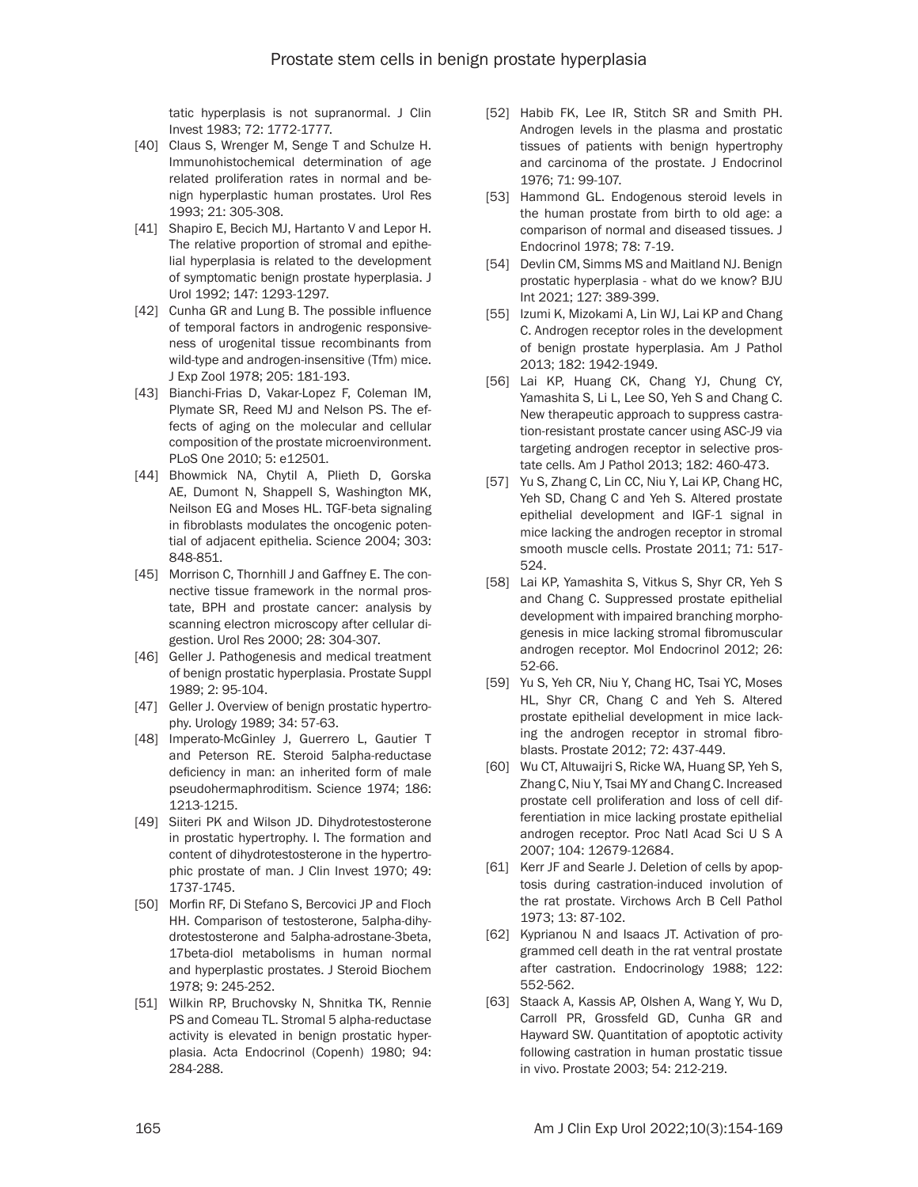tatic hyperplasis is not supranormal. J Clin Invest 1983; 72: 1772-1777.

- [40] Claus S, Wrenger M, Senge T and Schulze H. Immunohistochemical determination of age related proliferation rates in normal and benign hyperplastic human prostates. Urol Res 1993; 21: 305-308.
- [41] Shapiro E, Becich MJ, Hartanto V and Lepor H. The relative proportion of stromal and epithelial hyperplasia is related to the development of symptomatic benign prostate hyperplasia. J Urol 1992; 147: 1293-1297.
- [42] Cunha GR and Lung B. The possible influence of temporal factors in androgenic responsiveness of urogenital tissue recombinants from wild-type and androgen-insensitive (Tfm) mice. J Exp Zool 1978; 205: 181-193.
- [43] Bianchi-Frias D, Vakar-Lopez F, Coleman IM, Plymate SR, Reed MJ and Nelson PS. The effects of aging on the molecular and cellular composition of the prostate microenvironment. PLoS One 2010; 5: e12501.
- [44] Bhowmick NA, Chytil A, Plieth D, Gorska AE, Dumont N, Shappell S, Washington MK, Neilson EG and Moses HL. TGF-beta signaling in fibroblasts modulates the oncogenic potential of adjacent epithelia. Science 2004; 303: 848-851.
- [45] Morrison C, Thornhill J and Gaffney E. The connective tissue framework in the normal prostate, BPH and prostate cancer: analysis by scanning electron microscopy after cellular digestion. Urol Res 2000; 28: 304-307.
- [46] Geller J. Pathogenesis and medical treatment of benign prostatic hyperplasia. Prostate Suppl 1989; 2: 95-104.
- [47] Geller J. Overview of benign prostatic hypertrophy. Urology 1989; 34: 57-63.
- [48] Imperato-McGinley J, Guerrero L, Gautier T and Peterson RE. Steroid 5alpha-reductase deficiency in man: an inherited form of male pseudohermaphroditism. Science 1974; 186: 1213-1215.
- [49] Siiteri PK and Wilson JD. Dihydrotestosterone in prostatic hypertrophy. I. The formation and content of dihydrotestosterone in the hypertrophic prostate of man. J Clin Invest 1970; 49: 1737-1745.
- [50] Morfin RF, Di Stefano S, Bercovici JP and Floch HH. Comparison of testosterone, 5alpha-dihydrotestosterone and 5alpha-adrostane-3beta, 17beta-diol metabolisms in human normal and hyperplastic prostates. J Steroid Biochem 1978; 9: 245-252.
- [51] Wilkin RP, Bruchovsky N, Shnitka TK, Rennie PS and Comeau TL. Stromal 5 alpha-reductase activity is elevated in benign prostatic hyperplasia. Acta Endocrinol (Copenh) 1980; 94: 284-288.
- [52] Habib FK, Lee IR, Stitch SR and Smith PH. Androgen levels in the plasma and prostatic tissues of patients with benign hypertrophy and carcinoma of the prostate. J Endocrinol 1976; 71: 99-107.
- [53] Hammond GL. Endogenous steroid levels in the human prostate from birth to old age: a comparison of normal and diseased tissues. J Endocrinol 1978; 78: 7-19.
- [54] Devlin CM, Simms MS and Maitland NJ. Benign prostatic hyperplasia - what do we know? BJU Int 2021; 127: 389-399.
- [55] Izumi K, Mizokami A, Lin WJ, Lai KP and Chang C. Androgen receptor roles in the development of benign prostate hyperplasia. Am J Pathol 2013; 182: 1942-1949.
- [56] Lai KP, Huang CK, Chang YJ, Chung CY, Yamashita S, Li L, Lee SO, Yeh S and Chang C. New therapeutic approach to suppress castration-resistant prostate cancer using ASC-J9 via targeting androgen receptor in selective prostate cells. Am J Pathol 2013; 182: 460-473.
- [57] Yu S, Zhang C, Lin CC, Niu Y, Lai KP, Chang HC, Yeh SD, Chang C and Yeh S. Altered prostate epithelial development and IGF-1 signal in mice lacking the androgen receptor in stromal smooth muscle cells. Prostate 2011; 71: 517- 524.
- [58] Lai KP, Yamashita S, Vitkus S, Shyr CR, Yeh S and Chang C. Suppressed prostate epithelial development with impaired branching morphogenesis in mice lacking stromal fibromuscular androgen receptor. Mol Endocrinol 2012; 26: 52-66.
- [59] Yu S, Yeh CR, Niu Y, Chang HC, Tsai YC, Moses HL, Shyr CR, Chang C and Yeh S. Altered prostate epithelial development in mice lacking the androgen receptor in stromal fibroblasts. Prostate 2012; 72: 437-449.
- [60] Wu CT, Altuwaijri S, Ricke WA, Huang SP, Yeh S, Zhang C, Niu Y, Tsai MY and Chang C. Increased prostate cell proliferation and loss of cell differentiation in mice lacking prostate epithelial androgen receptor. Proc Natl Acad Sci U S A 2007; 104: 12679-12684.
- [61] Kerr JF and Searle J. Deletion of cells by apoptosis during castration-induced involution of the rat prostate. Virchows Arch B Cell Pathol 1973; 13: 87-102.
- [62] Kyprianou N and Isaacs JT. Activation of programmed cell death in the rat ventral prostate after castration. Endocrinology 1988; 122: 552-562.
- [63] Staack A, Kassis AP, Olshen A, Wang Y, Wu D, Carroll PR, Grossfeld GD, Cunha GR and Hayward SW. Quantitation of apoptotic activity following castration in human prostatic tissue in vivo. Prostate 2003; 54: 212-219.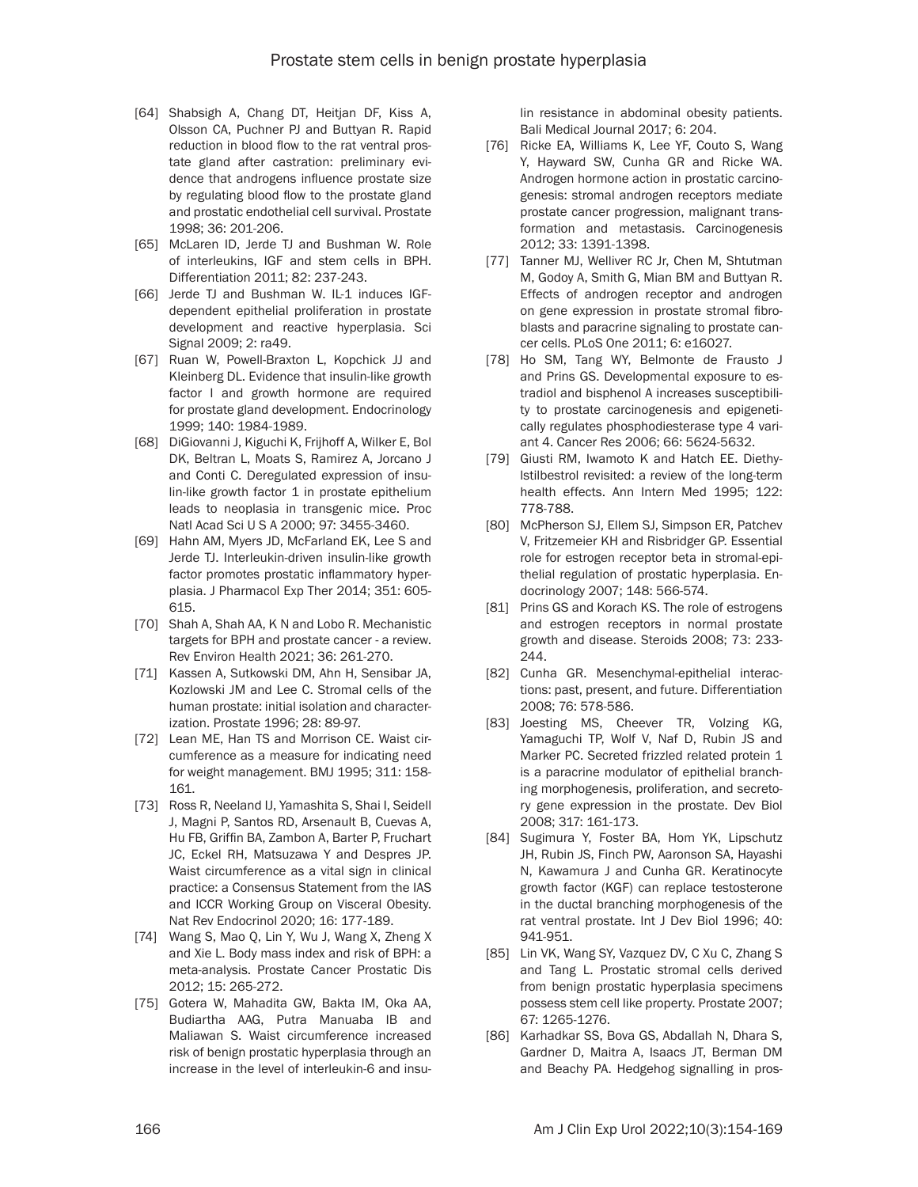- [64] Shabsigh A, Chang DT, Heitjan DF, Kiss A, Olsson CA, Puchner PJ and Buttyan R. Rapid reduction in blood flow to the rat ventral prostate gland after castration: preliminary evidence that androgens influence prostate size by regulating blood flow to the prostate gland and prostatic endothelial cell survival. Prostate 1998; 36: 201-206.
- [65] McLaren ID, Jerde TJ and Bushman W. Role of interleukins, IGF and stem cells in BPH. Differentiation 2011; 82: 237-243.
- [66] Jerde TJ and Bushman W. IL-1 induces IGFdependent epithelial proliferation in prostate development and reactive hyperplasia. Sci Signal 2009; 2: ra49.
- [67] Ruan W, Powell-Braxton L, Kopchick JJ and Kleinberg DL. Evidence that insulin-like growth factor I and growth hormone are required for prostate gland development. Endocrinology 1999; 140: 1984-1989.
- [68] DiGiovanni J, Kiguchi K, Frijhoff A, Wilker E, Bol DK, Beltran L, Moats S, Ramirez A, Jorcano J and Conti C. Deregulated expression of insulin-like growth factor 1 in prostate epithelium leads to neoplasia in transgenic mice. Proc Natl Acad Sci U S A 2000; 97: 3455-3460.
- [69] Hahn AM, Myers JD, McFarland EK, Lee S and Jerde TJ. Interleukin-driven insulin-like growth factor promotes prostatic inflammatory hyperplasia. J Pharmacol Exp Ther 2014; 351: 605- 615.
- [70] Shah A, Shah AA, K N and Lobo R. Mechanistic targets for BPH and prostate cancer - a review. Rev Environ Health 2021; 36: 261-270.
- [71] Kassen A, Sutkowski DM, Ahn H, Sensibar JA, Kozlowski JM and Lee C. Stromal cells of the human prostate: initial isolation and characterization. Prostate 1996; 28: 89-97.
- [72] Lean ME, Han TS and Morrison CE. Waist circumference as a measure for indicating need for weight management. BMJ 1995; 311: 158- 161.
- [73] Ross R, Neeland IJ, Yamashita S, Shai I, Seidell J, Magni P, Santos RD, Arsenault B, Cuevas A, Hu FB, Griffin BA, Zambon A, Barter P, Fruchart JC, Eckel RH, Matsuzawa Y and Despres JP. Waist circumference as a vital sign in clinical practice: a Consensus Statement from the IAS and ICCR Working Group on Visceral Obesity. Nat Rev Endocrinol 2020; 16: 177-189.
- [74] Wang S, Mao Q, Lin Y, Wu J, Wang X, Zheng X and Xie L. Body mass index and risk of BPH: a meta-analysis. Prostate Cancer Prostatic Dis 2012; 15: 265-272.
- [75] Gotera W, Mahadita GW, Bakta IM, Oka AA, Budiartha AAG, Putra Manuaba IB and Maliawan S. Waist circumference increased risk of benign prostatic hyperplasia through an increase in the level of interleukin-6 and insu-

lin resistance in abdominal obesity patients. Bali Medical Journal 2017; 6: 204.

- [76] Ricke EA, Williams K, Lee YF, Couto S, Wang Y, Hayward SW, Cunha GR and Ricke WA. Androgen hormone action in prostatic carcinogenesis: stromal androgen receptors mediate prostate cancer progression, malignant transformation and metastasis. Carcinogenesis 2012; 33: 1391-1398.
- [77] Tanner MJ, Welliver RC Jr, Chen M, Shtutman M, Godoy A, Smith G, Mian BM and Buttyan R. Effects of androgen receptor and androgen on gene expression in prostate stromal fibroblasts and paracrine signaling to prostate cancer cells. PLoS One 2011; 6: e16027.
- [78] Ho SM, Tang WY, Belmonte de Frausto J and Prins GS. Developmental exposure to estradiol and bisphenol A increases susceptibility to prostate carcinogenesis and epigenetically regulates phosphodiesterase type 4 variant 4. Cancer Res 2006; 66: 5624-5632.
- [79] Giusti RM, Iwamoto K and Hatch EE. Diethylstilbestrol revisited: a review of the long-term health effects. Ann Intern Med 1995; 122: 778-788.
- [80] McPherson SJ, Ellem SJ, Simpson ER, Patchev V, Fritzemeier KH and Risbridger GP. Essential role for estrogen receptor beta in stromal-epithelial regulation of prostatic hyperplasia. Endocrinology 2007; 148: 566-574.
- [81] Prins GS and Korach KS. The role of estrogens and estrogen receptors in normal prostate growth and disease. Steroids 2008; 73: 233- 244
- [82] Cunha GR. Mesenchymal-epithelial interactions: past, present, and future. Differentiation 2008; 76: 578-586.
- [83] Joesting MS, Cheever TR, Volzing KG, Yamaguchi TP, Wolf V, Naf D, Rubin JS and Marker PC. Secreted frizzled related protein 1 is a paracrine modulator of epithelial branching morphogenesis, proliferation, and secretory gene expression in the prostate. Dev Biol 2008; 317: 161-173.
- [84] Sugimura Y, Foster BA, Hom YK, Lipschutz JH, Rubin JS, Finch PW, Aaronson SA, Hayashi N, Kawamura J and Cunha GR. Keratinocyte growth factor (KGF) can replace testosterone in the ductal branching morphogenesis of the rat ventral prostate. Int J Dev Biol 1996; 40: 941-951.
- [85] Lin VK, Wang SY, Vazquez DV, C Xu C, Zhang S and Tang L. Prostatic stromal cells derived from benign prostatic hyperplasia specimens possess stem cell like property. Prostate 2007; 67: 1265-1276.
- [86] Karhadkar SS, Bova GS, Abdallah N, Dhara S, Gardner D, Maitra A, Isaacs JT, Berman DM and Beachy PA. Hedgehog signalling in pros-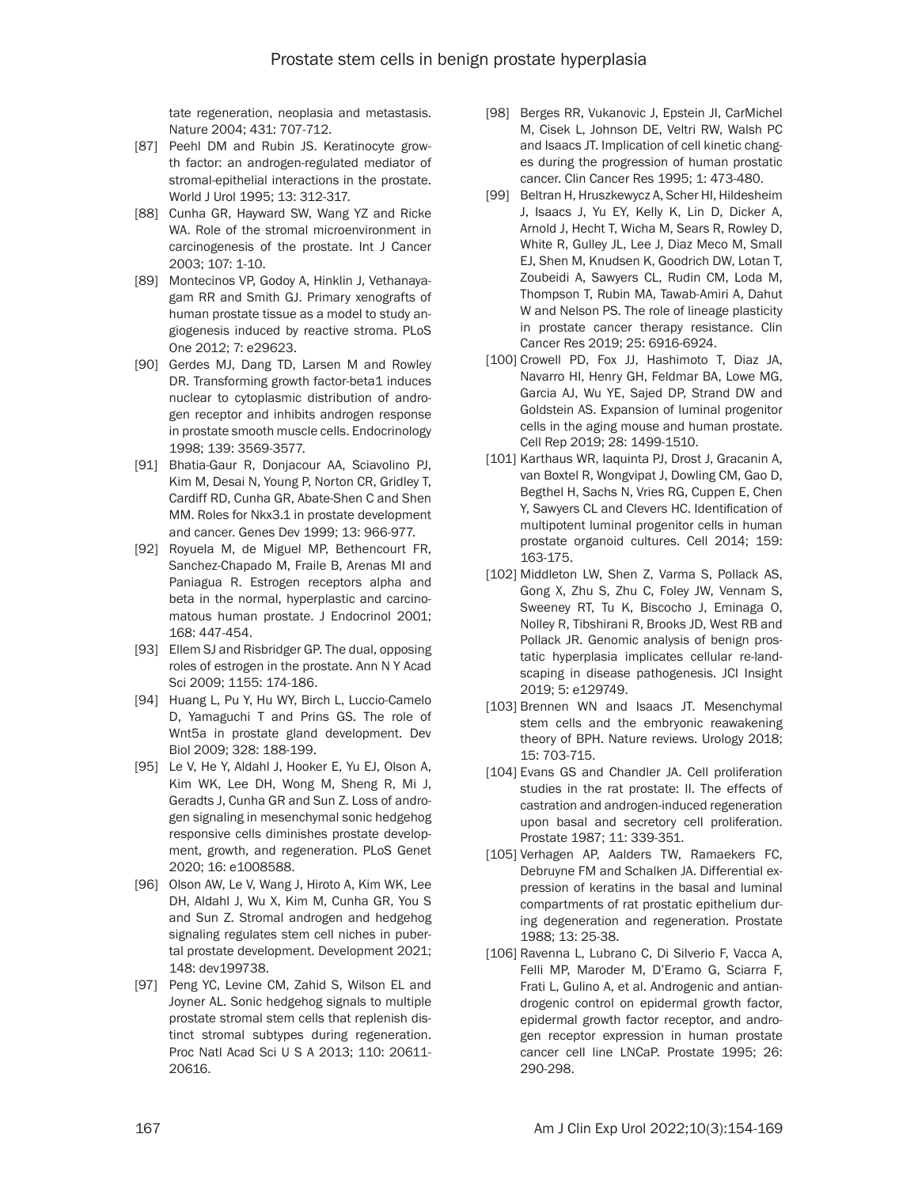tate regeneration, neoplasia and metastasis. Nature 2004; 431: 707-712.

- [87] Peehl DM and Rubin JS. Keratinocyte growth factor: an androgen-regulated mediator of stromal-epithelial interactions in the prostate. World J Urol 1995; 13: 312-317.
- [88] Cunha GR, Hayward SW, Wang YZ and Ricke WA. Role of the stromal microenvironment in carcinogenesis of the prostate. Int J Cancer 2003; 107: 1-10.
- [89] Montecinos VP, Godoy A, Hinklin J, Vethanayagam RR and Smith GJ. Primary xenografts of human prostate tissue as a model to study angiogenesis induced by reactive stroma. PLoS One 2012; 7: e29623.
- [90] Gerdes MJ, Dang TD, Larsen M and Rowley DR. Transforming growth factor-beta1 induces nuclear to cytoplasmic distribution of androgen receptor and inhibits androgen response in prostate smooth muscle cells. Endocrinology 1998; 139: 3569-3577.
- [91] Bhatia-Gaur R, Donjacour AA, Sciavolino PJ, Kim M, Desai N, Young P, Norton CR, Gridley T, Cardiff RD, Cunha GR, Abate-Shen C and Shen MM. Roles for Nkx3.1 in prostate development and cancer. Genes Dev 1999; 13: 966-977.
- [92] Royuela M, de Miguel MP, Bethencourt FR, Sanchez-Chapado M, Fraile B, Arenas MI and Paniagua R. Estrogen receptors alpha and beta in the normal, hyperplastic and carcinomatous human prostate. J Endocrinol 2001; 168: 447-454.
- [93] Ellem SJ and Risbridger GP. The dual, opposing roles of estrogen in the prostate. Ann N Y Acad Sci 2009; 1155: 174-186.
- [94] Huang L, Pu Y, Hu WY, Birch L, Luccio-Camelo D, Yamaguchi T and Prins GS. The role of Wnt5a in prostate gland development. Dev Biol 2009; 328: 188-199.
- [95] Le V, He Y, Aldahl J, Hooker E, Yu EJ, Olson A, Kim WK, Lee DH, Wong M, Sheng R, Mi J, Geradts J, Cunha GR and Sun Z. Loss of androgen signaling in mesenchymal sonic hedgehog responsive cells diminishes prostate development, growth, and regeneration. PLoS Genet 2020; 16: e1008588.
- [96] Olson AW, Le V, Wang J, Hiroto A, Kim WK, Lee DH, Aldahl J, Wu X, Kim M, Cunha GR, You S and Sun Z. Stromal androgen and hedgehog signaling regulates stem cell niches in pubertal prostate development. Development 2021; 148: dev199738.
- [97] Peng YC, Levine CM, Zahid S, Wilson EL and Joyner AL. Sonic hedgehog signals to multiple prostate stromal stem cells that replenish distinct stromal subtypes during regeneration. Proc Natl Acad Sci U S A 2013; 110: 20611- 20616.
- [98] Berges RR, Vukanovic J, Epstein JI, CarMichel M, Cisek L, Johnson DE, Veltri RW, Walsh PC and Isaacs JT. Implication of cell kinetic changes during the progression of human prostatic cancer. Clin Cancer Res 1995; 1: 473-480.
- [99] Beltran H, Hruszkewycz A, Scher HI, Hildesheim J, Isaacs J, Yu EY, Kelly K, Lin D, Dicker A, Arnold J, Hecht T, Wicha M, Sears R, Rowley D, White R, Gulley JL, Lee J, Diaz Meco M, Small EJ, Shen M, Knudsen K, Goodrich DW, Lotan T, Zoubeidi A, Sawyers CL, Rudin CM, Loda M, Thompson T, Rubin MA, Tawab-Amiri A, Dahut W and Nelson PS. The role of lineage plasticity in prostate cancer therapy resistance. Clin Cancer Res 2019; 25: 6916-6924.
- [100] Crowell PD, Fox JJ, Hashimoto T, Diaz JA, Navarro HI, Henry GH, Feldmar BA, Lowe MG, Garcia AJ, Wu YE, Sajed DP, Strand DW and Goldstein AS. Expansion of luminal progenitor cells in the aging mouse and human prostate. Cell Rep 2019; 28: 1499-1510.
- [101] Karthaus WR, laquinta PJ, Drost J, Gracanin A, van Boxtel R, Wongvipat J, Dowling CM, Gao D, Begthel H, Sachs N, Vries RG, Cuppen E, Chen Y, Sawyers CL and Clevers HC. Identification of multipotent luminal progenitor cells in human prostate organoid cultures. Cell 2014; 159: 163-175.
- [102] Middleton LW, Shen Z, Varma S, Pollack AS, Gong X, Zhu S, Zhu C, Foley JW, Vennam S, Sweeney RT, Tu K, Biscocho J, Eminaga O, Nolley R, Tibshirani R, Brooks JD, West RB and Pollack JR. Genomic analysis of benign prostatic hyperplasia implicates cellular re-landscaping in disease pathogenesis. JCI Insight 2019; 5: e129749.
- [103] Brennen WN and Isaacs JT. Mesenchymal stem cells and the embryonic reawakening theory of BPH. Nature reviews. Urology 2018; 15: 703-715.
- [104] Evans GS and Chandler JA. Cell proliferation studies in the rat prostate: II. The effects of castration and androgen-induced regeneration upon basal and secretory cell proliferation. Prostate 1987; 11: 339-351.
- [105] Verhagen AP, Aalders TW, Ramaekers FC, Debruyne FM and Schalken JA. Differential expression of keratins in the basal and luminal compartments of rat prostatic epithelium during degeneration and regeneration. Prostate 1988; 13: 25-38.
- [106] Ravenna L, Lubrano C, Di Silverio F, Vacca A, Felli MP, Maroder M, D'Eramo G, Sciarra F, Frati L, Gulino A, et al. Androgenic and antiandrogenic control on epidermal growth factor, epidermal growth factor receptor, and androgen receptor expression in human prostate cancer cell line LNCaP. Prostate 1995; 26: 290-298.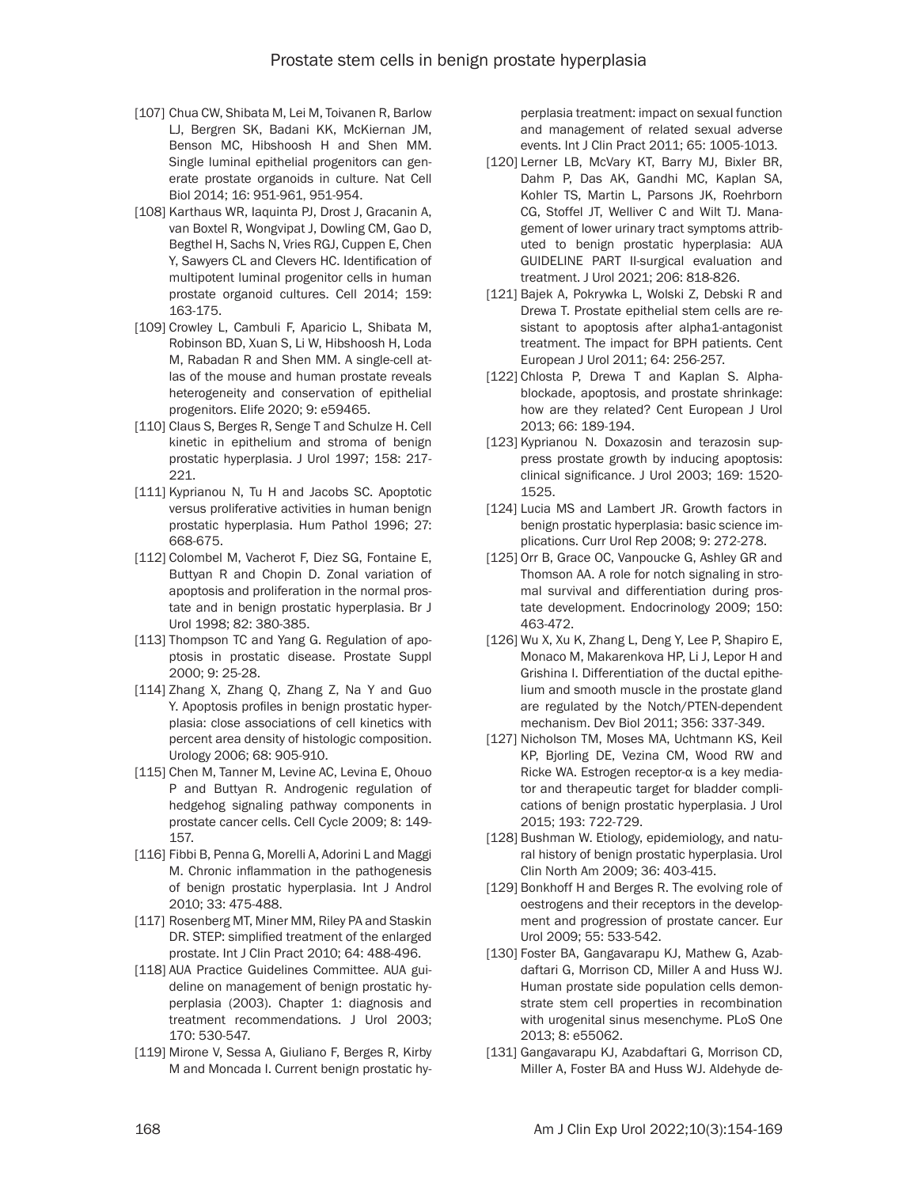- [107] Chua CW, Shibata M, Lei M, Toivanen R, Barlow LJ, Bergren SK, Badani KK, McKiernan JM, Benson MC, Hibshoosh H and Shen MM. Single luminal epithelial progenitors can generate prostate organoids in culture. Nat Cell Biol 2014; 16: 951-961, 951-954.
- [108] Karthaus WR, Iaquinta PJ, Drost J, Gracanin A, van Boxtel R, Wongvipat J, Dowling CM, Gao D, Begthel H, Sachs N, Vries RGJ, Cuppen E, Chen Y, Sawyers CL and Clevers HC. Identification of multipotent luminal progenitor cells in human prostate organoid cultures. Cell 2014; 159: 163-175.
- [109] Crowley L, Cambuli F, Aparicio L, Shibata M, Robinson BD, Xuan S, Li W, Hibshoosh H, Loda M, Rabadan R and Shen MM. A single-cell atlas of the mouse and human prostate reveals heterogeneity and conservation of epithelial progenitors. Elife 2020; 9: e59465.
- [110] Claus S, Berges R, Senge T and Schulze H. Cell kinetic in epithelium and stroma of benign prostatic hyperplasia. J Urol 1997; 158: 217- 221.
- [111] Kyprianou N, Tu H and Jacobs SC. Apoptotic versus proliferative activities in human benign prostatic hyperplasia. Hum Pathol 1996; 27: 668-675.
- [112] Colombel M, Vacherot F, Diez SG, Fontaine E, Buttyan R and Chopin D. Zonal variation of apoptosis and proliferation in the normal prostate and in benign prostatic hyperplasia. Br J Urol 1998; 82: 380-385.
- [113] Thompson TC and Yang G. Regulation of apoptosis in prostatic disease. Prostate Suppl 2000; 9: 25-28.
- [114] Zhang X, Zhang Q, Zhang Z, Na Y and Guo Y. Apoptosis profiles in benign prostatic hyperplasia: close associations of cell kinetics with percent area density of histologic composition. Urology 2006; 68: 905-910.
- [115] Chen M, Tanner M, Levine AC, Levina E, Ohouo P and Buttyan R. Androgenic regulation of hedgehog signaling pathway components in prostate cancer cells. Cell Cycle 2009; 8: 149- 157.
- [116] Fibbi B, Penna G, Morelli A, Adorini L and Maggi M. Chronic inflammation in the pathogenesis of benign prostatic hyperplasia. Int J Androl 2010; 33: 475-488.
- [117] Rosenberg MT, Miner MM, Riley PA and Staskin DR. STEP: simplified treatment of the enlarged prostate. Int J Clin Pract 2010; 64: 488-496.
- [118] AUA Practice Guidelines Committee. AUA guideline on management of benign prostatic hyperplasia (2003). Chapter 1: diagnosis and treatment recommendations. J Urol 2003; 170: 530-547.
- [119] Mirone V, Sessa A, Giuliano F, Berges R, Kirby M and Moncada I. Current benign prostatic hy-

perplasia treatment: impact on sexual function and management of related sexual adverse events. Int J Clin Pract 2011; 65: 1005-1013.

- [120] Lerner LB, McVary KT, Barry MJ, Bixler BR, Dahm P, Das AK, Gandhi MC, Kaplan SA, Kohler TS, Martin L, Parsons JK, Roehrborn CG, Stoffel JT, Welliver C and Wilt TJ. Management of lower urinary tract symptoms attributed to benign prostatic hyperplasia: AUA GUIDELINE PART II-surgical evaluation and treatment. J Urol 2021; 206: 818-826.
- [121] Bajek A, Pokrywka L, Wolski Z, Debski R and Drewa T. Prostate epithelial stem cells are resistant to apoptosis after alpha1-antagonist treatment. The impact for BPH patients. Cent European J Urol 2011; 64: 256-257.
- [122] Chlosta P, Drewa T and Kaplan S. Alphablockade, apoptosis, and prostate shrinkage: how are they related? Cent European J Urol 2013; 66: 189-194.
- [123] Kyprianou N. Doxazosin and terazosin suppress prostate growth by inducing apoptosis: clinical significance. J Urol 2003; 169: 1520- 1525.
- [124] Lucia MS and Lambert JR. Growth factors in benign prostatic hyperplasia: basic science implications. Curr Urol Rep 2008; 9: 272-278.
- [125] Orr B, Grace OC, Vanpoucke G, Ashley GR and Thomson AA. A role for notch signaling in stromal survival and differentiation during prostate development. Endocrinology 2009; 150: 463-472.
- [126] Wu X, Xu K, Zhang L, Deng Y, Lee P, Shapiro E, Monaco M, Makarenkova HP, Li J, Lepor H and Grishina I. Differentiation of the ductal epithelium and smooth muscle in the prostate gland are regulated by the Notch/PTEN-dependent mechanism. Dev Biol 2011; 356: 337-349.
- [127] Nicholson TM, Moses MA, Uchtmann KS, Keil KP, Bjorling DE, Vezina CM, Wood RW and Ricke WA. Estrogen receptor-α is a key mediator and therapeutic target for bladder complications of benign prostatic hyperplasia. J Urol 2015; 193: 722-729.
- [128] Bushman W. Etiology, epidemiology, and natural history of benign prostatic hyperplasia. Urol Clin North Am 2009; 36: 403-415.
- [129] Bonkhoff H and Berges R. The evolving role of oestrogens and their receptors in the development and progression of prostate cancer. Eur Urol 2009; 55: 533-542.
- [130] Foster BA, Gangavarapu KJ, Mathew G, Azabdaftari G, Morrison CD, Miller A and Huss WJ. Human prostate side population cells demonstrate stem cell properties in recombination with urogenital sinus mesenchyme. PLoS One 2013; 8: e55062.
- [131] Gangavarapu KJ, Azabdaftari G, Morrison CD, Miller A, Foster BA and Huss WJ. Aldehyde de-